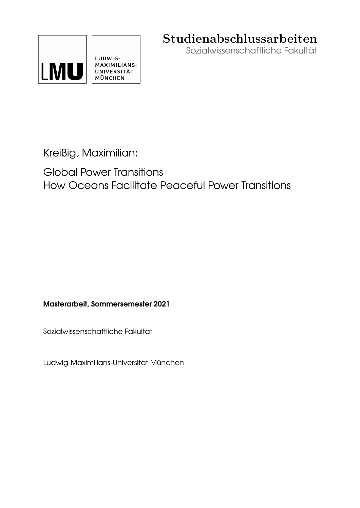

# **Studienabschlussarbeiten**

Sozialwissenschaftliche Fakultät

Kreißig, Maximilian:

Global Power Transitions How Oceans Facilitate Peaceful Power Transitions

Masterarbeit, Sommersemester 2021

Sozialwissenschaftliche Fakultät

Ludwig-Maximilians-Universität München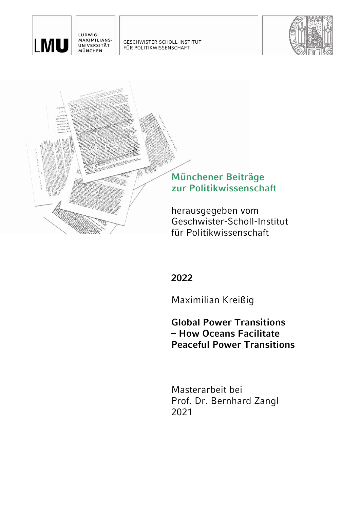

LUDWIG-MAXIMILIANS-UNIVERSITÄT MÜNCHEN

GESCHWISTER-SCHOLL-INSTITUT FÜR POLITIKWISSENSCHAFT





**2022** 

Maximilian Kreißig

**Global Power Transitions – How Oceans Facilitate Peaceful Power Transitions** 

Masterarbeit bei Prof. Dr. Bernhard Zangl 2021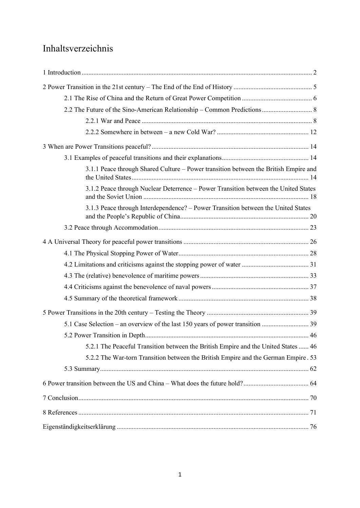# Inhaltsverzeichnis

| 3.1.1 Peace through Shared Culture – Power transition between the British Empire and |
|--------------------------------------------------------------------------------------|
| 3.1.2 Peace through Nuclear Deterrence - Power Transition between the United States  |
| 3.1.3 Peace through Interdependence? – Power Transition between the United States    |
|                                                                                      |
|                                                                                      |
|                                                                                      |
|                                                                                      |
|                                                                                      |
|                                                                                      |
|                                                                                      |
|                                                                                      |
|                                                                                      |
|                                                                                      |
| 5.2.1 The Peaceful Transition between the British Empire and the United States  46   |
| 5.2.2 The War-torn Transition between the British Empire and the German Empire. 53   |
|                                                                                      |
|                                                                                      |
|                                                                                      |
|                                                                                      |
|                                                                                      |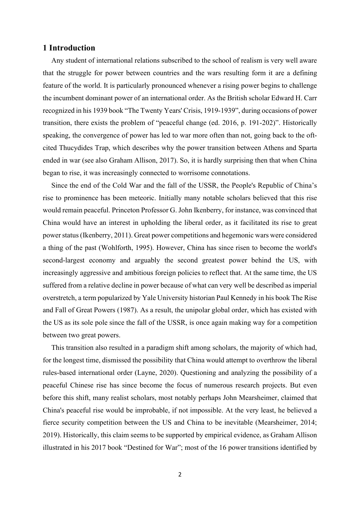## 1 Introduction

Any student of international relations subscribed to the school of realism is very well aware that the struggle for power between countries and the wars resulting form it are a defining feature of the world. It is particularly pronounced whenever a rising power begins to challenge the incumbent dominant power of an international order. As the British scholar Edward H. Carr recognized in his 1939 book "The Twenty Years' Crisis, 1919-1939", during occasions of power transition, there exists the problem of "peaceful change (ed. 2016, p. 191-202)". Historically speaking, the convergence of power has led to war more often than not, going back to the oftcited Thucydides Trap, which describes why the power transition between Athens and Sparta ended in war (see also Graham Allison, 2017). So, it is hardly surprising then that when China began to rise, it was increasingly connected to worrisome connotations.

Since the end of the Cold War and the fall of the USSR, the People's Republic of China's rise to prominence has been meteoric. Initially many notable scholars believed that this rise would remain peaceful. Princeton Professor G. John Ikenberry, for instance, was convinced that China would have an interest in upholding the liberal order, as it facilitated its rise to great power status (Ikenberry, 2011). Great power competitions and hegemonic wars were considered a thing of the past (Wohlforth, 1995). However, China has since risen to become the world's second-largest economy and arguably the second greatest power behind the US, with increasingly aggressive and ambitious foreign policies to reflect that. At the same time, the US suffered from a relative decline in power because of what can very well be described as imperial overstretch, a term popularized by Yale University historian Paul Kennedy in his book The Rise and Fall of Great Powers (1987). As a result, the unipolar global order, which has existed with the US as its sole pole since the fall of the USSR, is once again making way for a competition between two great powers.

This transition also resulted in a paradigm shift among scholars, the majority of which had, for the longest time, dismissed the possibility that China would attempt to overthrow the liberal rules-based international order (Layne, 2020). Questioning and analyzing the possibility of a peaceful Chinese rise has since become the focus of numerous research projects. But even before this shift, many realist scholars, most notably perhaps John Mearsheimer, claimed that China's peaceful rise would be improbable, if not impossible. At the very least, he believed a fierce security competition between the US and China to be inevitable (Mearsheimer, 2014; 2019). Historically, this claim seems to be supported by empirical evidence, as Graham Allison illustrated in his 2017 book "Destined for War"; most of the 16 power transitions identified by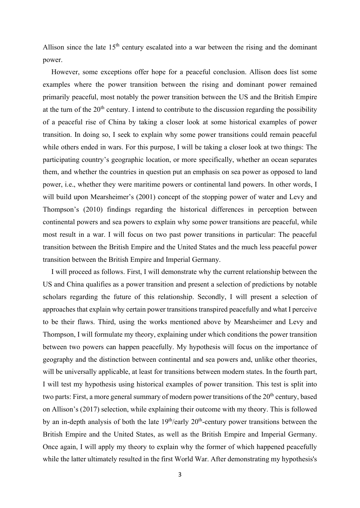Allison since the late  $15<sup>th</sup>$  century escalated into a war between the rising and the dominant power.

However, some exceptions offer hope for a peaceful conclusion. Allison does list some examples where the power transition between the rising and dominant power remained primarily peaceful, most notably the power transition between the US and the British Empire at the turn of the  $20<sup>th</sup>$  century. I intend to contribute to the discussion regarding the possibility of a peaceful rise of China by taking a closer look at some historical examples of power transition. In doing so, I seek to explain why some power transitions could remain peaceful while others ended in wars. For this purpose, I will be taking a closer look at two things: The participating country's geographic location, or more specifically, whether an ocean separates them, and whether the countries in question put an emphasis on sea power as opposed to land power, i.e., whether they were maritime powers or continental land powers. In other words, I will build upon Mearsheimer's (2001) concept of the stopping power of water and Levy and Thompson's (2010) findings regarding the historical differences in perception between continental powers and sea powers to explain why some power transitions are peaceful, while most result in a war. I will focus on two past power transitions in particular: The peaceful transition between the British Empire and the United States and the much less peaceful power transition between the British Empire and Imperial Germany.

I will proceed as follows. First, I will demonstrate why the current relationship between the US and China qualifies as a power transition and present a selection of predictions by notable scholars regarding the future of this relationship. Secondly, I will present a selection of approaches that explain why certain power transitions transpired peacefully and what I perceive to be their flaws. Third, using the works mentioned above by Mearsheimer and Levy and Thompson, I will formulate my theory, explaining under which conditions the power transition between two powers can happen peacefully. My hypothesis will focus on the importance of geography and the distinction between continental and sea powers and, unlike other theories, will be universally applicable, at least for transitions between modern states. In the fourth part, I will test my hypothesis using historical examples of power transition. This test is split into two parts: First, a more general summary of modern power transitions of the 20<sup>th</sup> century, based on Allison's (2017) selection, while explaining their outcome with my theory. This is followed by an in-depth analysis of both the late 19<sup>th</sup>/early 20<sup>th</sup>-century power transitions between the British Empire and the United States, as well as the British Empire and Imperial Germany. Once again, I will apply my theory to explain why the former of which happened peacefully while the latter ultimately resulted in the first World War. After demonstrating my hypothesis's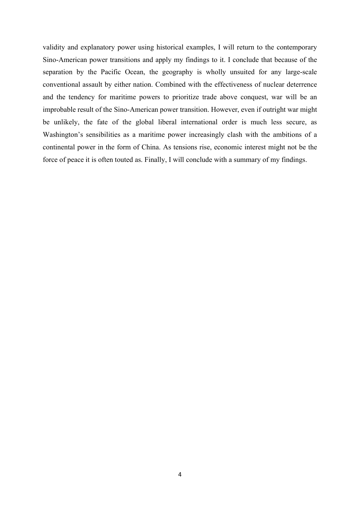validity and explanatory power using historical examples, I will return to the contemporary Sino-American power transitions and apply my findings to it. I conclude that because of the separation by the Pacific Ocean, the geography is wholly unsuited for any large-scale conventional assault by either nation. Combined with the effectiveness of nuclear deterrence and the tendency for maritime powers to prioritize trade above conquest, war will be an improbable result of the Sino-American power transition. However, even if outright war might be unlikely, the fate of the global liberal international order is much less secure, as Washington's sensibilities as a maritime power increasingly clash with the ambitions of a continental power in the form of China. As tensions rise, economic interest might not be the force of peace it is often touted as. Finally, I will conclude with a summary of my findings.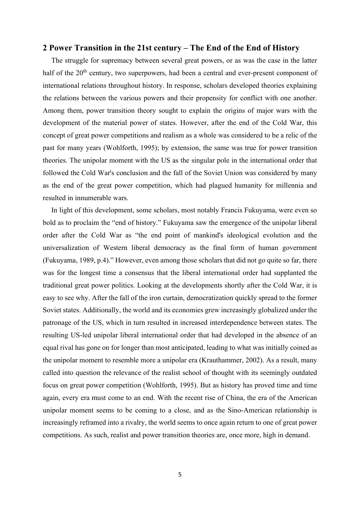## 2 Power Transition in the 21st century – The End of the End of History

The struggle for supremacy between several great powers, or as was the case in the latter half of the 20<sup>th</sup> century, two superpowers, had been a central and ever-present component of international relations throughout history. In response, scholars developed theories explaining the relations between the various powers and their propensity for conflict with one another. Among them, power transition theory sought to explain the origins of major wars with the development of the material power of states. However, after the end of the Cold War, this concept of great power competitions and realism as a whole was considered to be a relic of the past for many years (Wohlforth, 1995); by extension, the same was true for power transition theories. The unipolar moment with the US as the singular pole in the international order that followed the Cold War's conclusion and the fall of the Soviet Union was considered by many as the end of the great power competition, which had plagued humanity for millennia and resulted in innumerable wars.

In light of this development, some scholars, most notably Francis Fukuyama, were even so bold as to proclaim the "end of history." Fukuyama saw the emergence of the unipolar liberal order after the Cold War as "the end point of mankind's ideological evolution and the universalization of Western liberal democracy as the final form of human government (Fukuyama, 1989, p.4)." However, even among those scholars that did not go quite so far, there was for the longest time a consensus that the liberal international order had supplanted the traditional great power politics. Looking at the developments shortly after the Cold War, it is easy to see why. After the fall of the iron curtain, democratization quickly spread to the former Soviet states. Additionally, the world and its economies grew increasingly globalized under the patronage of the US, which in turn resulted in increased interdependence between states. The resulting US-led unipolar liberal international order that had developed in the absence of an equal rival has gone on for longer than most anticipated, leading to what was initially coined as the unipolar moment to resemble more a unipolar era (Krauthammer, 2002). As a result, many called into question the relevance of the realist school of thought with its seemingly outdated focus on great power competition (Wohlforth, 1995). But as history has proved time and time again, every era must come to an end. With the recent rise of China, the era of the American unipolar moment seems to be coming to a close, and as the Sino-American relationship is increasingly reframed into a rivalry, the world seems to once again return to one of great power competitions. As such, realist and power transition theories are, once more, high in demand.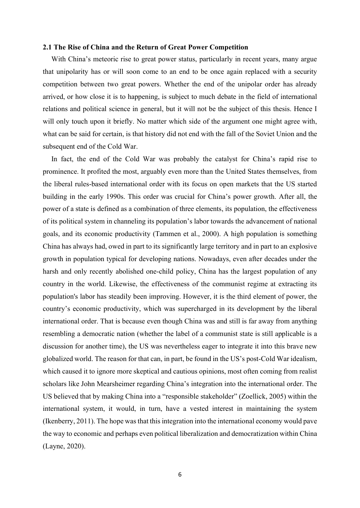#### 2.1 The Rise of China and the Return of Great Power Competition

With China's meteoric rise to great power status, particularly in recent years, many argue that unipolarity has or will soon come to an end to be once again replaced with a security competition between two great powers. Whether the end of the unipolar order has already arrived, or how close it is to happening, is subject to much debate in the field of international relations and political science in general, but it will not be the subject of this thesis. Hence I will only touch upon it briefly. No matter which side of the argument one might agree with, what can be said for certain, is that history did not end with the fall of the Soviet Union and the subsequent end of the Cold War.

In fact, the end of the Cold War was probably the catalyst for China's rapid rise to prominence. It profited the most, arguably even more than the United States themselves, from the liberal rules-based international order with its focus on open markets that the US started building in the early 1990s. This order was crucial for China's power growth. After all, the power of a state is defined as a combination of three elements, its population, the effectiveness of its political system in channeling its population's labor towards the advancement of national goals, and its economic productivity (Tammen et al., 2000). A high population is something China has always had, owed in part to its significantly large territory and in part to an explosive growth in population typical for developing nations. Nowadays, even after decades under the harsh and only recently abolished one-child policy, China has the largest population of any country in the world. Likewise, the effectiveness of the communist regime at extracting its population's labor has steadily been improving. However, it is the third element of power, the country's economic productivity, which was supercharged in its development by the liberal international order. That is because even though China was and still is far away from anything resembling a democratic nation (whether the label of a communist state is still applicable is a discussion for another time), the US was nevertheless eager to integrate it into this brave new globalized world. The reason for that can, in part, be found in the US's post-Cold War idealism, which caused it to ignore more skeptical and cautious opinions, most often coming from realist scholars like John Mearsheimer regarding China's integration into the international order. The US believed that by making China into a "responsible stakeholder" (Zoellick, 2005) within the international system, it would, in turn, have a vested interest in maintaining the system (Ikenberry, 2011). The hope was that this integration into the international economy would pave the way to economic and perhaps even political liberalization and democratization within China (Layne, 2020).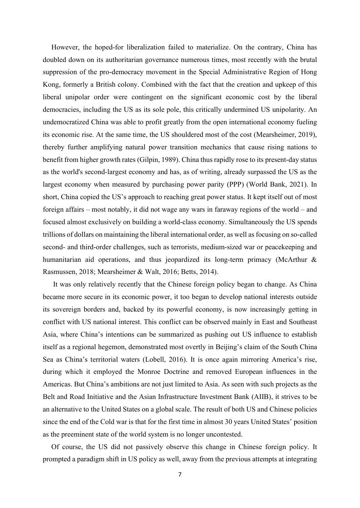However, the hoped-for liberalization failed to materialize. On the contrary, China has doubled down on its authoritarian governance numerous times, most recently with the brutal suppression of the pro-democracy movement in the Special Administrative Region of Hong Kong, formerly a British colony. Combined with the fact that the creation and upkeep of this liberal unipolar order were contingent on the significant economic cost by the liberal democracies, including the US as its sole pole, this critically undermined US unipolarity. An undemocratized China was able to profit greatly from the open international economy fueling its economic rise. At the same time, the US shouldered most of the cost (Mearsheimer, 2019), thereby further amplifying natural power transition mechanics that cause rising nations to benefit from higher growth rates (Gilpin, 1989). China thus rapidly rose to its present-day status as the world's second-largest economy and has, as of writing, already surpassed the US as the largest economy when measured by purchasing power parity (PPP) (World Bank, 2021). In short, China copied the US's approach to reaching great power status. It kept itself out of most foreign affairs – most notably, it did not wage any wars in faraway regions of the world – and focused almost exclusively on building a world-class economy. Simultaneously the US spends trillions of dollars on maintaining the liberal international order, as well as focusing on so-called second- and third-order challenges, such as terrorists, medium-sized war or peacekeeping and humanitarian aid operations, and thus jeopardized its long-term primacy (McArthur & Rasmussen, 2018; Mearsheimer & Walt, 2016; Betts, 2014).

 It was only relatively recently that the Chinese foreign policy began to change. As China became more secure in its economic power, it too began to develop national interests outside its sovereign borders and, backed by its powerful economy, is now increasingly getting in conflict with US national interest. This conflict can be observed mainly in East and Southeast Asia, where China's intentions can be summarized as pushing out US influence to establish itself as a regional hegemon, demonstrated most overtly in Beijing's claim of the South China Sea as China's territorial waters (Lobell, 2016). It is once again mirroring America's rise, during which it employed the Monroe Doctrine and removed European influences in the Americas. But China's ambitions are not just limited to Asia. As seen with such projects as the Belt and Road Initiative and the Asian Infrastructure Investment Bank (AIIB), it strives to be an alternative to the United States on a global scale. The result of both US and Chinese policies since the end of the Cold war is that for the first time in almost 30 years United States' position as the preeminent state of the world system is no longer uncontested.

Of course, the US did not passively observe this change in Chinese foreign policy. It prompted a paradigm shift in US policy as well, away from the previous attempts at integrating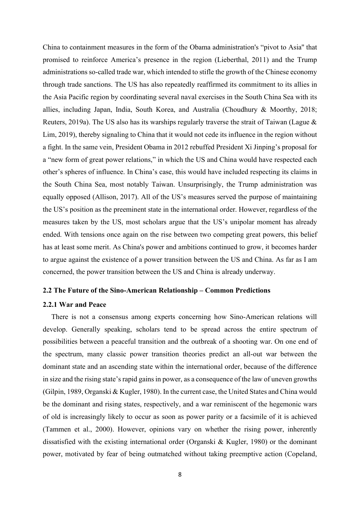China to containment measures in the form of the Obama administration's "pivot to Asia'' that promised to reinforce America's presence in the region (Lieberthal, 2011) and the Trump administrations so-called trade war, which intended to stifle the growth of the Chinese economy through trade sanctions. The US has also repeatedly reaffirmed its commitment to its allies in the Asia Pacific region by coordinating several naval exercises in the South China Sea with its allies, including Japan, India, South Korea, and Australia (Choudhury & Moorthy, 2018; Reuters, 2019a). The US also has its warships regularly traverse the strait of Taiwan (Lague & Lim, 2019), thereby signaling to China that it would not cede its influence in the region without a fight. In the same vein, President Obama in 2012 rebuffed President Xi Jinping's proposal for a "new form of great power relations," in which the US and China would have respected each other's spheres of influence. In China's case, this would have included respecting its claims in the South China Sea, most notably Taiwan. Unsurprisingly, the Trump administration was equally opposed (Allison, 2017). All of the US's measures served the purpose of maintaining the US's position as the preeminent state in the international order. However, regardless of the measures taken by the US, most scholars argue that the US's unipolar moment has already ended. With tensions once again on the rise between two competing great powers, this belief has at least some merit. As China's power and ambitions continued to grow, it becomes harder to argue against the existence of a power transition between the US and China. As far as I am concerned, the power transition between the US and China is already underway.

#### 2.2 The Future of the Sino-American Relationship – Common Predictions

#### 2.2.1 War and Peace

There is not a consensus among experts concerning how Sino-American relations will develop. Generally speaking, scholars tend to be spread across the entire spectrum of possibilities between a peaceful transition and the outbreak of a shooting war. On one end of the spectrum, many classic power transition theories predict an all-out war between the dominant state and an ascending state within the international order, because of the difference in size and the rising state's rapid gains in power, as a consequence of the law of uneven growths (Gilpin, 1989, Organski & Kugler, 1980). In the current case, the United States and China would be the dominant and rising states, respectively, and a war reminiscent of the hegemonic wars of old is increasingly likely to occur as soon as power parity or a facsimile of it is achieved (Tammen et al., 2000). However, opinions vary on whether the rising power, inherently dissatisfied with the existing international order (Organski & Kugler, 1980) or the dominant power, motivated by fear of being outmatched without taking preemptive action (Copeland,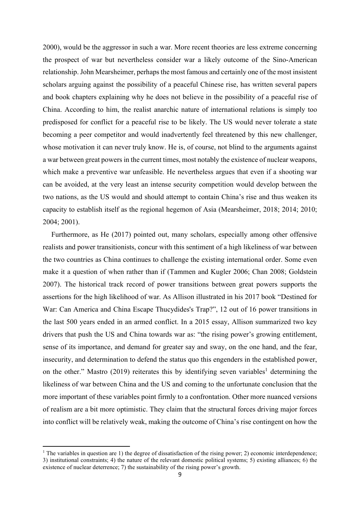2000), would be the aggressor in such a war. More recent theories are less extreme concerning the prospect of war but nevertheless consider war a likely outcome of the Sino-American relationship. John Mearsheimer, perhaps the most famous and certainly one of the most insistent scholars arguing against the possibility of a peaceful Chinese rise, has written several papers and book chapters explaining why he does not believe in the possibility of a peaceful rise of China. According to him, the realist anarchic nature of international relations is simply too predisposed for conflict for a peaceful rise to be likely. The US would never tolerate a state becoming a peer competitor and would inadvertently feel threatened by this new challenger, whose motivation it can never truly know. He is, of course, not blind to the arguments against a war between great powers in the current times, most notably the existence of nuclear weapons, which make a preventive war unfeasible. He nevertheless argues that even if a shooting war can be avoided, at the very least an intense security competition would develop between the two nations, as the US would and should attempt to contain China's rise and thus weaken its capacity to establish itself as the regional hegemon of Asia (Mearsheimer, 2018; 2014; 2010; 2004; 2001).

Furthermore, as He (2017) pointed out, many scholars, especially among other offensive realists and power transitionists, concur with this sentiment of a high likeliness of war between the two countries as China continues to challenge the existing international order. Some even make it a question of when rather than if (Tammen and Kugler 2006; Chan 2008; Goldstein 2007). The historical track record of power transitions between great powers supports the assertions for the high likelihood of war. As Allison illustrated in his 2017 book "Destined for War: Can America and China Escape Thucydides's Trap?", 12 out of 16 power transitions in the last 500 years ended in an armed conflict. In a 2015 essay, Allison summarized two key drivers that push the US and China towards war as: "the rising power's growing entitlement, sense of its importance, and demand for greater say and sway, on the one hand, and the fear, insecurity, and determination to defend the status quo this engenders in the established power, on the other." Mastro (2019) reiterates this by identifying seven variables<sup>1</sup> determining the likeliness of war between China and the US and coming to the unfortunate conclusion that the more important of these variables point firmly to a confrontation. Other more nuanced versions of realism are a bit more optimistic. They claim that the structural forces driving major forces into conflict will be relatively weak, making the outcome of China's rise contingent on how the

<sup>&</sup>lt;sup>1</sup> The variables in question are 1) the degree of dissatisfaction of the rising power; 2) economic interdependence; 3) institutional constraints; 4) the nature of the relevant domestic political systems; 5) existing alliances; 6) the existence of nuclear deterrence; 7) the sustainability of the rising power's growth.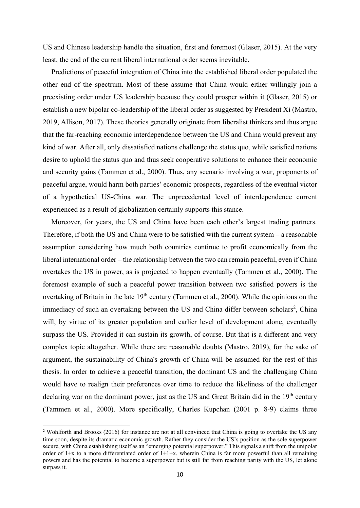US and Chinese leadership handle the situation, first and foremost (Glaser, 2015). At the very least, the end of the current liberal international order seems inevitable.

Predictions of peaceful integration of China into the established liberal order populated the other end of the spectrum. Most of these assume that China would either willingly join a preexisting order under US leadership because they could prosper within it (Glaser, 2015) or establish a new bipolar co-leadership of the liberal order as suggested by President Xi (Mastro, 2019, Allison, 2017). These theories generally originate from liberalist thinkers and thus argue that the far-reaching economic interdependence between the US and China would prevent any kind of war. After all, only dissatisfied nations challenge the status quo, while satisfied nations desire to uphold the status quo and thus seek cooperative solutions to enhance their economic and security gains (Tammen et al., 2000). Thus, any scenario involving a war, proponents of peaceful argue, would harm both parties' economic prospects, regardless of the eventual victor of a hypothetical US-China war. The unprecedented level of interdependence current experienced as a result of globalization certainly supports this stance.

Moreover, for years, the US and China have been each other's largest trading partners. Therefore, if both the US and China were to be satisfied with the current system – a reasonable assumption considering how much both countries continue to profit economically from the liberal international order – the relationship between the two can remain peaceful, even if China overtakes the US in power, as is projected to happen eventually (Tammen et al., 2000). The foremost example of such a peaceful power transition between two satisfied powers is the overtaking of Britain in the late  $19<sup>th</sup>$  century (Tammen et al., 2000). While the opinions on the immediacy of such an overtaking between the US and China differ between scholars<sup>2</sup>, China will, by virtue of its greater population and earlier level of development alone, eventually surpass the US. Provided it can sustain its growth, of course. But that is a different and very complex topic altogether. While there are reasonable doubts (Mastro, 2019), for the sake of argument, the sustainability of China's growth of China will be assumed for the rest of this thesis. In order to achieve a peaceful transition, the dominant US and the challenging China would have to realign their preferences over time to reduce the likeliness of the challenger declaring war on the dominant power, just as the US and Great Britain did in the 19<sup>th</sup> century (Tammen et al., 2000). More specifically, Charles Kupchan (2001 p. 8-9) claims three

<sup>&</sup>lt;sup>2</sup> Wohlforth and Brooks (2016) for instance are not at all convinced that China is going to overtake the US any time soon, despite its dramatic economic growth. Rather they consider the US's position as the sole superpower secure, with China establishing itself as an "emerging potential superpower." This signals a shift from the unipolar order of  $1+x$  to a more differentiated order of  $1+1+x$ , wherein China is far more powerful than all remaining powers and has the potential to become a superpower but is still far from reaching parity with the US, let alone surpass it.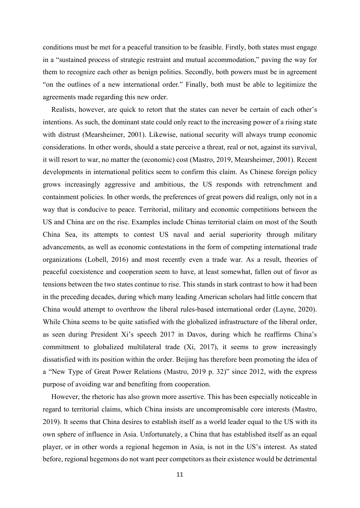conditions must be met for a peaceful transition to be feasible. Firstly, both states must engage in a "sustained process of strategic restraint and mutual accommodation," paving the way for them to recognize each other as benign polities. Secondly, both powers must be in agreement "on the outlines of a new international order." Finally, both must be able to legitimize the agreements made regarding this new order.

Realists, however, are quick to retort that the states can never be certain of each other's intentions. As such, the dominant state could only react to the increasing power of a rising state with distrust (Mearsheimer, 2001). Likewise, national security will always trump economic considerations. In other words, should a state perceive a threat, real or not, against its survival, it will resort to war, no matter the (economic) cost (Mastro, 2019, Mearsheimer, 2001). Recent developments in international politics seem to confirm this claim. As Chinese foreign policy grows increasingly aggressive and ambitious, the US responds with retrenchment and containment policies. In other words, the preferences of great powers did realign, only not in a way that is conducive to peace. Territorial, military and economic competitions between the US and China are on the rise. Examples include Chinas territorial claim on most of the South China Sea, its attempts to contest US naval and aerial superiority through military advancements, as well as economic contestations in the form of competing international trade organizations (Lobell, 2016) and most recently even a trade war. As a result, theories of peaceful coexistence and cooperation seem to have, at least somewhat, fallen out of favor as tensions between the two states continue to rise. This stands in stark contrast to how it had been in the preceding decades, during which many leading American scholars had little concern that China would attempt to overthrow the liberal rules-based international order (Layne, 2020). While China seems to be quite satisfied with the globalized infrastructure of the liberal order, as seen during President Xi's speech 2017 in Davos, during which he reaffirms China's commitment to globalized multilateral trade (Xi, 2017), it seems to grow increasingly dissatisfied with its position within the order. Beijing has therefore been promoting the idea of a "New Type of Great Power Relations (Mastro, 2019 p. 32)" since 2012, with the express purpose of avoiding war and benefiting from cooperation.

However, the rhetoric has also grown more assertive. This has been especially noticeable in regard to territorial claims, which China insists are uncompromisable core interests (Mastro, 2019). It seems that China desires to establish itself as a world leader equal to the US with its own sphere of influence in Asia. Unfortunately, a China that has established itself as an equal player, or in other words a regional hegemon in Asia, is not in the US's interest. As stated before, regional hegemons do not want peer competitors as their existence would be detrimental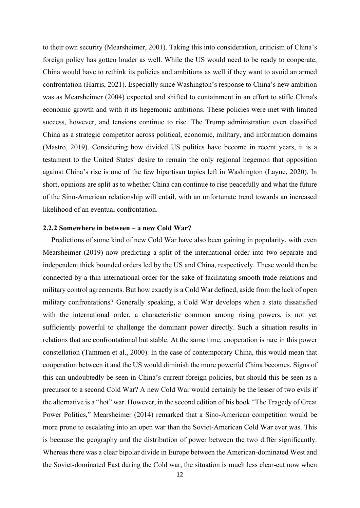to their own security (Mearsheimer, 2001). Taking this into consideration, criticism of China's foreign policy has gotten louder as well. While the US would need to be ready to cooperate, China would have to rethink its policies and ambitions as well if they want to avoid an armed confrontation (Harris, 2021). Especially since Washington's response to China's new ambition was as Mearsheimer (2004) expected and shifted to containment in an effort to stifle China's economic growth and with it its hegemonic ambitions. These policies were met with limited success, however, and tensions continue to rise. The Trump administration even classified China as a strategic competitor across political, economic, military, and information domains (Mastro, 2019). Considering how divided US politics have become in recent years, it is a testament to the United States' desire to remain the only regional hegemon that opposition against China's rise is one of the few bipartisan topics left in Washington (Layne, 2020). In short, opinions are split as to whether China can continue to rise peacefully and what the future of the Sino-American relationship will entail, with an unfortunate trend towards an increased likelihood of an eventual confrontation.

#### 2.2.2 Somewhere in between – a new Cold War?

Predictions of some kind of new Cold War have also been gaining in popularity, with even Mearsheimer (2019) now predicting a split of the international order into two separate and independent thick bounded orders led by the US and China, respectively. These would then be connected by a thin international order for the sake of facilitating smooth trade relations and military control agreements. But how exactly is a Cold War defined, aside from the lack of open military confrontations? Generally speaking, a Cold War develops when a state dissatisfied with the international order, a characteristic common among rising powers, is not yet sufficiently powerful to challenge the dominant power directly. Such a situation results in relations that are confrontational but stable. At the same time, cooperation is rare in this power constellation (Tammen et al., 2000). In the case of contemporary China, this would mean that cooperation between it and the US would diminish the more powerful China becomes. Signs of this can undoubtedly be seen in China's current foreign policies, but should this be seen as a precursor to a second Cold War? A new Cold War would certainly be the lesser of two evils if the alternative is a "hot" war. However, in the second edition of his book "The Tragedy of Great Power Politics," Mearsheimer (2014) remarked that a Sino-American competition would be more prone to escalating into an open war than the Soviet-American Cold War ever was. This is because the geography and the distribution of power between the two differ significantly. Whereas there was a clear bipolar divide in Europe between the American-dominated West and the Soviet-dominated East during the Cold war, the situation is much less clear-cut now when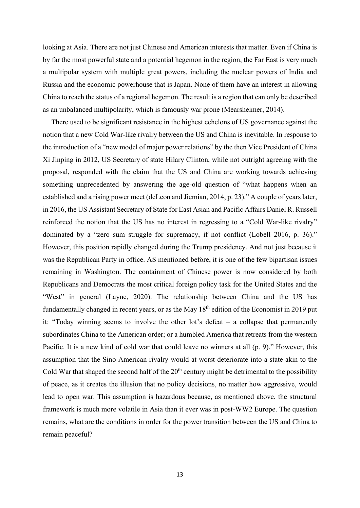looking at Asia. There are not just Chinese and American interests that matter. Even if China is by far the most powerful state and a potential hegemon in the region, the Far East is very much a multipolar system with multiple great powers, including the nuclear powers of India and Russia and the economic powerhouse that is Japan. None of them have an interest in allowing China to reach the status of a regional hegemon. The result is a region that can only be described as an unbalanced multipolarity, which is famously war prone (Mearsheimer, 2014).

There used to be significant resistance in the highest echelons of US governance against the notion that a new Cold War-like rivalry between the US and China is inevitable. In response to the introduction of a "new model of major power relations" by the then Vice President of China Xi Jinping in 2012, US Secretary of state Hilary Clinton, while not outright agreeing with the proposal, responded with the claim that the US and China are working towards achieving something unprecedented by answering the age-old question of "what happens when an established and a rising power meet (deLeon and Jiemian, 2014, p. 23)." A couple of years later, in 2016, the US Assistant Secretary of State for East Asian and Pacific Affairs Daniel R. Russell reinforced the notion that the US has no interest in regressing to a "Cold War-like rivalry" dominated by a "zero sum struggle for supremacy, if not conflict (Lobell 2016, p. 36)." However, this position rapidly changed during the Trump presidency. And not just because it was the Republican Party in office. AS mentioned before, it is one of the few bipartisan issues remaining in Washington. The containment of Chinese power is now considered by both Republicans and Democrats the most critical foreign policy task for the United States and the "West" in general (Layne, 2020). The relationship between China and the US has fundamentally changed in recent years, or as the May  $18<sup>th</sup>$  edition of the Economist in 2019 put it: "Today winning seems to involve the other lot's defeat – a collapse that permanently subordinates China to the American order; or a humbled America that retreats from the western Pacific. It is a new kind of cold war that could leave no winners at all (p. 9)." However, this assumption that the Sino-American rivalry would at worst deteriorate into a state akin to the Cold War that shaped the second half of the  $20<sup>th</sup>$  century might be detrimental to the possibility of peace, as it creates the illusion that no policy decisions, no matter how aggressive, would lead to open war. This assumption is hazardous because, as mentioned above, the structural framework is much more volatile in Asia than it ever was in post-WW2 Europe. The question remains, what are the conditions in order for the power transition between the US and China to remain peaceful?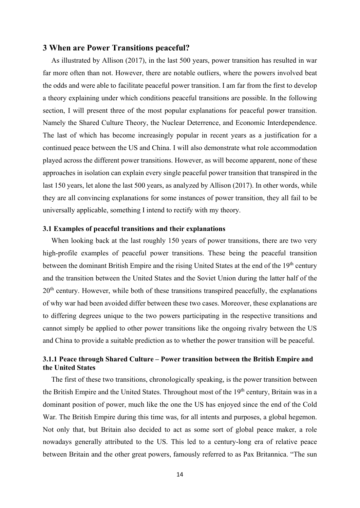# 3 When are Power Transitions peaceful?

As illustrated by Allison (2017), in the last 500 years, power transition has resulted in war far more often than not. However, there are notable outliers, where the powers involved beat the odds and were able to facilitate peaceful power transition. I am far from the first to develop a theory explaining under which conditions peaceful transitions are possible. In the following section, I will present three of the most popular explanations for peaceful power transition. Namely the Shared Culture Theory, the Nuclear Deterrence, and Economic Interdependence. The last of which has become increasingly popular in recent years as a justification for a continued peace between the US and China. I will also demonstrate what role accommodation played across the different power transitions. However, as will become apparent, none of these approaches in isolation can explain every single peaceful power transition that transpired in the last 150 years, let alone the last 500 years, as analyzed by Allison (2017). In other words, while they are all convincing explanations for some instances of power transition, they all fail to be universally applicable, something I intend to rectify with my theory.

## 3.1 Examples of peaceful transitions and their explanations

When looking back at the last roughly 150 years of power transitions, there are two very high-profile examples of peaceful power transitions. These being the peaceful transition between the dominant British Empire and the rising United States at the end of the 19<sup>th</sup> century and the transition between the United States and the Soviet Union during the latter half of the 20<sup>th</sup> century. However, while both of these transitions transpired peacefully, the explanations of why war had been avoided differ between these two cases. Moreover, these explanations are to differing degrees unique to the two powers participating in the respective transitions and cannot simply be applied to other power transitions like the ongoing rivalry between the US and China to provide a suitable prediction as to whether the power transition will be peaceful.

# 3.1.1 Peace through Shared Culture – Power transition between the British Empire and the United States

The first of these two transitions, chronologically speaking, is the power transition between the British Empire and the United States. Throughout most of the 19<sup>th</sup> century, Britain was in a dominant position of power, much like the one the US has enjoyed since the end of the Cold War. The British Empire during this time was, for all intents and purposes, a global hegemon. Not only that, but Britain also decided to act as some sort of global peace maker, a role nowadays generally attributed to the US. This led to a century-long era of relative peace between Britain and the other great powers, famously referred to as Pax Britannica. "The sun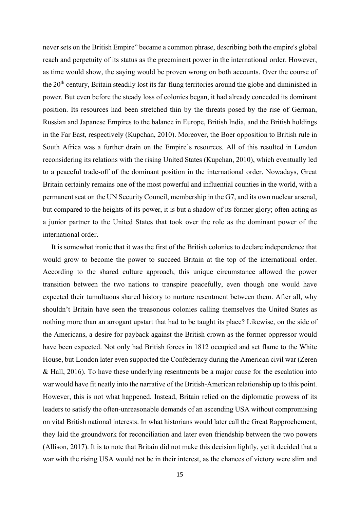never sets on the British Empire" became a common phrase, describing both the empire's global reach and perpetuity of its status as the preeminent power in the international order. However, as time would show, the saying would be proven wrong on both accounts. Over the course of the 20<sup>th</sup> century, Britain steadily lost its far-flung territories around the globe and diminished in power. But even before the steady loss of colonies began, it had already conceded its dominant position. Its resources had been stretched thin by the threats posed by the rise of German, Russian and Japanese Empires to the balance in Europe, British India, and the British holdings in the Far East, respectively (Kupchan, 2010). Moreover, the Boer opposition to British rule in South Africa was a further drain on the Empire's resources. All of this resulted in London reconsidering its relations with the rising United States (Kupchan, 2010), which eventually led to a peaceful trade-off of the dominant position in the international order. Nowadays, Great Britain certainly remains one of the most powerful and influential counties in the world, with a permanent seat on the UN Security Council, membership in the G7, and its own nuclear arsenal, but compared to the heights of its power, it is but a shadow of its former glory; often acting as a junior partner to the United States that took over the role as the dominant power of the international order.

It is somewhat ironic that it was the first of the British colonies to declare independence that would grow to become the power to succeed Britain at the top of the international order. According to the shared culture approach, this unique circumstance allowed the power transition between the two nations to transpire peacefully, even though one would have expected their tumultuous shared history to nurture resentment between them. After all, why shouldn't Britain have seen the treasonous colonies calling themselves the United States as nothing more than an arrogant upstart that had to be taught its place? Likewise, on the side of the Americans, a desire for payback against the British crown as the former oppressor would have been expected. Not only had British forces in 1812 occupied and set flame to the White House, but London later even supported the Confederacy during the American civil war (Zeren & Hall, 2016). To have these underlying resentments be a major cause for the escalation into war would have fit neatly into the narrative of the British-American relationship up to this point. However, this is not what happened. Instead, Britain relied on the diplomatic prowess of its leaders to satisfy the often-unreasonable demands of an ascending USA without compromising on vital British national interests. In what historians would later call the Great Rapprochement, they laid the groundwork for reconciliation and later even friendship between the two powers (Allison, 2017). It is to note that Britain did not make this decision lightly, yet it decided that a war with the rising USA would not be in their interest, as the chances of victory were slim and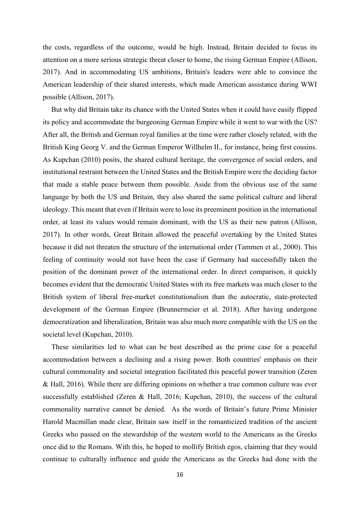the costs, regardless of the outcome, would be high. Instead, Britain decided to focus its attention on a more serious strategic threat closer to home, the rising German Empire (Allison, 2017). And in accommodating US ambitions, Britain's leaders were able to convince the American leadership of their shared interests, which made American assistance during WWI possible (Allison, 2017).

But why did Britain take its chance with the United States when it could have easily flipped its policy and accommodate the burgeoning German Empire while it went to war with the US? After all, the British and German royal families at the time were rather closely related, with the British King Georg V. and the German Emperor Willhelm II., for instance, being first cousins. As Kupchan (2010) posits, the shared cultural heritage, the convergence of social orders, and institutional restraint between the United States and the British Empire were the deciding factor that made a stable peace between them possible. Aside from the obvious use of the same language by both the US and Britain, they also shared the same political culture and liberal ideology. This meant that even if Britain were to lose its preeminent position in the international order, at least its values would remain dominant, with the US as their new patron (Allison, 2017). In other words, Great Britain allowed the peaceful overtaking by the United States because it did not threaten the structure of the international order (Tammen et al., 2000). This feeling of continuity would not have been the case if Germany had successfully taken the position of the dominant power of the international order. In direct comparison, it quickly becomes evident that the democratic United States with its free markets was much closer to the British system of liberal free-market constitutionalism than the autocratic, state-protected development of the German Empire (Brunnermeier et al. 2018). After having undergone democratization and liberalization, Britain was also much more compatible with the US on the societal level (Kupchan, 2010).

These similarities led to what can be best described as the prime case for a peaceful accommodation between a declining and a rising power. Both countries' emphasis on their cultural commonality and societal integration facilitated this peaceful power transition (Zeren & Hall, 2016). While there are differing opinions on whether a true common culture was ever successfully established (Zeren & Hall, 2016; Kupchan, 2010), the success of the cultural commonality narrative cannot be denied. As the words of Britain's future Prime Minister Harold Macmillan made clear, Britain saw itself in the romanticized tradition of the ancient Greeks who passed on the stewardship of the western world to the Americans as the Greeks once did to the Romans. With this, he hoped to mollify British egos, claiming that they would continue to culturally influence and guide the Americans as the Greeks had done with the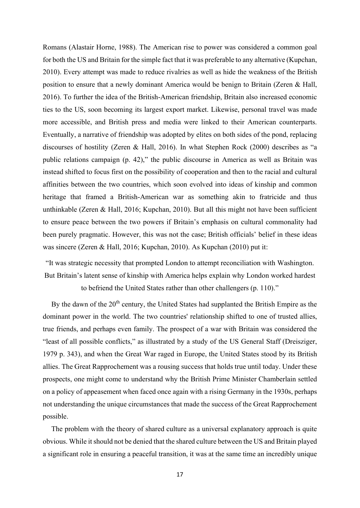Romans (Alastair Horne, 1988). The American rise to power was considered a common goal for both the US and Britain for the simple fact that it was preferable to any alternative (Kupchan, 2010). Every attempt was made to reduce rivalries as well as hide the weakness of the British position to ensure that a newly dominant America would be benign to Britain (Zeren & Hall, 2016). To further the idea of the British-American friendship, Britain also increased economic ties to the US, soon becoming its largest export market. Likewise, personal travel was made more accessible, and British press and media were linked to their American counterparts. Eventually, a narrative of friendship was adopted by elites on both sides of the pond, replacing discourses of hostility (Zeren & Hall, 2016). In what Stephen Rock (2000) describes as "a public relations campaign (p. 42)," the public discourse in America as well as Britain was instead shifted to focus first on the possibility of cooperation and then to the racial and cultural affinities between the two countries, which soon evolved into ideas of kinship and common heritage that framed a British-American war as something akin to fratricide and thus unthinkable (Zeren & Hall, 2016; Kupchan, 2010). But all this might not have been sufficient to ensure peace between the two powers if Britain's emphasis on cultural commonality had been purely pragmatic. However, this was not the case; British officials' belief in these ideas was sincere (Zeren & Hall, 2016; Kupchan, 2010). As Kupchan (2010) put it:

"It was strategic necessity that prompted London to attempt reconciliation with Washington. But Britain's latent sense of kinship with America helps explain why London worked hardest to befriend the United States rather than other challengers (p. 110)."

By the dawn of the 20<sup>th</sup> century, the United States had supplanted the British Empire as the dominant power in the world. The two countries' relationship shifted to one of trusted allies, true friends, and perhaps even family. The prospect of a war with Britain was considered the "least of all possible conflicts," as illustrated by a study of the US General Staff (Dreisziger, 1979 p. 343), and when the Great War raged in Europe, the United States stood by its British allies. The Great Rapprochement was a rousing success that holds true until today. Under these prospects, one might come to understand why the British Prime Minister Chamberlain settled on a policy of appeasement when faced once again with a rising Germany in the 1930s, perhaps not understanding the unique circumstances that made the success of the Great Rapprochement possible.

The problem with the theory of shared culture as a universal explanatory approach is quite obvious. While it should not be denied that the shared culture between the US and Britain played a significant role in ensuring a peaceful transition, it was at the same time an incredibly unique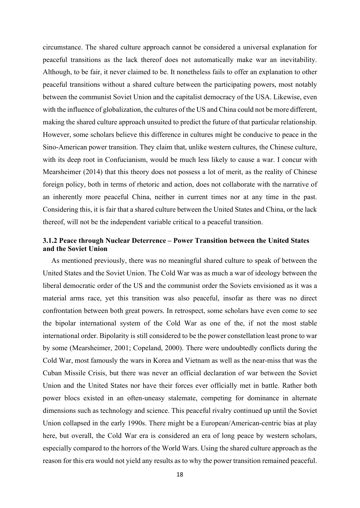circumstance. The shared culture approach cannot be considered a universal explanation for peaceful transitions as the lack thereof does not automatically make war an inevitability. Although, to be fair, it never claimed to be. It nonetheless fails to offer an explanation to other peaceful transitions without a shared culture between the participating powers, most notably between the communist Soviet Union and the capitalist democracy of the USA. Likewise, even with the influence of globalization, the cultures of the US and China could not be more different, making the shared culture approach unsuited to predict the future of that particular relationship. However, some scholars believe this difference in cultures might be conducive to peace in the Sino-American power transition. They claim that, unlike western cultures, the Chinese culture, with its deep root in Confucianism, would be much less likely to cause a war. I concur with Mearsheimer (2014) that this theory does not possess a lot of merit, as the reality of Chinese foreign policy, both in terms of rhetoric and action, does not collaborate with the narrative of an inherently more peaceful China, neither in current times nor at any time in the past. Considering this, it is fair that a shared culture between the United States and China, or the lack thereof, will not be the independent variable critical to a peaceful transition.

# 3.1.2 Peace through Nuclear Deterrence – Power Transition between the United States and the Soviet Union

As mentioned previously, there was no meaningful shared culture to speak of between the United States and the Soviet Union. The Cold War was as much a war of ideology between the liberal democratic order of the US and the communist order the Soviets envisioned as it was a material arms race, yet this transition was also peaceful, insofar as there was no direct confrontation between both great powers. In retrospect, some scholars have even come to see the bipolar international system of the Cold War as one of the, if not the most stable international order. Bipolarity is still considered to be the power constellation least prone to war by some (Mearsheimer, 2001; Copeland, 2000). There were undoubtedly conflicts during the Cold War, most famously the wars in Korea and Vietnam as well as the near-miss that was the Cuban Missile Crisis, but there was never an official declaration of war between the Soviet Union and the United States nor have their forces ever officially met in battle. Rather both power blocs existed in an often-uneasy stalemate, competing for dominance in alternate dimensions such as technology and science. This peaceful rivalry continued up until the Soviet Union collapsed in the early 1990s. There might be a European/American-centric bias at play here, but overall, the Cold War era is considered an era of long peace by western scholars, especially compared to the horrors of the World Wars. Using the shared culture approach as the reason for this era would not yield any results as to why the power transition remained peaceful.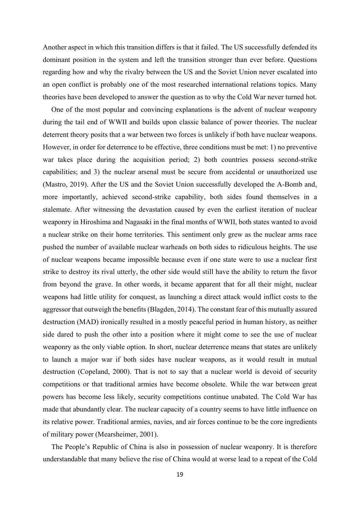Another aspect in which this transition differs is that it failed. The US successfully defended its dominant position in the system and left the transition stronger than ever before. Questions regarding how and why the rivalry between the US and the Soviet Union never escalated into an open conflict is probably one of the most researched international relations topics. Many theories have been developed to answer the question as to why the Cold War never turned hot.

One of the most popular and convincing explanations is the advent of nuclear weaponry during the tail end of WWII and builds upon classic balance of power theories. The nuclear deterrent theory posits that a war between two forces is unlikely if both have nuclear weapons. However, in order for deterrence to be effective, three conditions must be met: 1) no preventive war takes place during the acquisition period; 2) both countries possess second-strike capabilities; and 3) the nuclear arsenal must be secure from accidental or unauthorized use (Mastro, 2019). After the US and the Soviet Union successfully developed the A-Bomb and, more importantly, achieved second-strike capability, both sides found themselves in a stalemate. After witnessing the devastation caused by even the earliest iteration of nuclear weaponry in Hiroshima and Nagasaki in the final months of WWII, both states wanted to avoid a nuclear strike on their home territories. This sentiment only grew as the nuclear arms race pushed the number of available nuclear warheads on both sides to ridiculous heights. The use of nuclear weapons became impossible because even if one state were to use a nuclear first strike to destroy its rival utterly, the other side would still have the ability to return the favor from beyond the grave. In other words, it became apparent that for all their might, nuclear weapons had little utility for conquest, as launching a direct attack would inflict costs to the aggressor that outweigh the benefits (Blagden, 2014). The constant fear of this mutually assured destruction (MAD) ironically resulted in a mostly peaceful period in human history, as neither side dared to push the other into a position where it might come to see the use of nuclear weaponry as the only viable option. In short, nuclear deterrence means that states are unlikely to launch a major war if both sides have nuclear weapons, as it would result in mutual destruction (Copeland, 2000). That is not to say that a nuclear world is devoid of security competitions or that traditional armies have become obsolete. While the war between great powers has become less likely, security competitions continue unabated. The Cold War has made that abundantly clear. The nuclear capacity of a country seems to have little influence on its relative power. Traditional armies, navies, and air forces continue to be the core ingredients of military power (Mearsheimer, 2001).

The People's Republic of China is also in possession of nuclear weaponry. It is therefore understandable that many believe the rise of China would at worse lead to a repeat of the Cold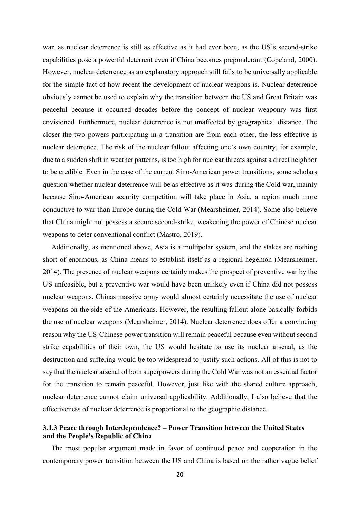war, as nuclear deterrence is still as effective as it had ever been, as the US's second-strike capabilities pose a powerful deterrent even if China becomes preponderant (Copeland, 2000). However, nuclear deterrence as an explanatory approach still fails to be universally applicable for the simple fact of how recent the development of nuclear weapons is. Nuclear deterrence obviously cannot be used to explain why the transition between the US and Great Britain was peaceful because it occurred decades before the concept of nuclear weaponry was first envisioned. Furthermore, nuclear deterrence is not unaffected by geographical distance. The closer the two powers participating in a transition are from each other, the less effective is nuclear deterrence. The risk of the nuclear fallout affecting one's own country, for example, due to a sudden shift in weather patterns, is too high for nuclear threats against a direct neighbor to be credible. Even in the case of the current Sino-American power transitions, some scholars question whether nuclear deterrence will be as effective as it was during the Cold war, mainly because Sino-American security competition will take place in Asia, a region much more conductive to war than Europe during the Cold War (Mearsheimer, 2014). Some also believe that China might not possess a secure second-strike, weakening the power of Chinese nuclear weapons to deter conventional conflict (Mastro, 2019).

Additionally, as mentioned above, Asia is a multipolar system, and the stakes are nothing short of enormous, as China means to establish itself as a regional hegemon (Mearsheimer, 2014). The presence of nuclear weapons certainly makes the prospect of preventive war by the US unfeasible, but a preventive war would have been unlikely even if China did not possess nuclear weapons. Chinas massive army would almost certainly necessitate the use of nuclear weapons on the side of the Americans. However, the resulting fallout alone basically forbids the use of nuclear weapons (Mearsheimer, 2014). Nuclear deterrence does offer a convincing reason why the US-Chinese power transition will remain peaceful because even without second strike capabilities of their own, the US would hesitate to use its nuclear arsenal, as the destruction and suffering would be too widespread to justify such actions. All of this is not to say that the nuclear arsenal of both superpowers during the Cold War was not an essential factor for the transition to remain peaceful. However, just like with the shared culture approach, nuclear deterrence cannot claim universal applicability. Additionally, I also believe that the effectiveness of nuclear deterrence is proportional to the geographic distance.

# 3.1.3 Peace through Interdependence? – Power Transition between the United States and the People's Republic of China

The most popular argument made in favor of continued peace and cooperation in the contemporary power transition between the US and China is based on the rather vague belief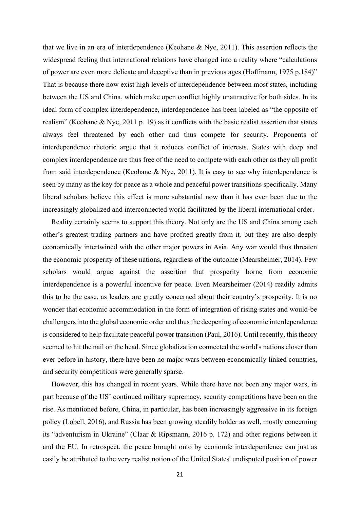that we live in an era of interdependence (Keohane & Nye, 2011). This assertion reflects the widespread feeling that international relations have changed into a reality where "calculations of power are even more delicate and deceptive than in previous ages (Hoffmann, 1975 p.184)" That is because there now exist high levels of interdependence between most states, including between the US and China, which make open conflict highly unattractive for both sides. In its ideal form of complex interdependence, interdependence has been labeled as "the opposite of realism" (Keohane & Nye, 2011 p. 19) as it conflicts with the basic realist assertion that states always feel threatened by each other and thus compete for security. Proponents of interdependence rhetoric argue that it reduces conflict of interests. States with deep and complex interdependence are thus free of the need to compete with each other as they all profit from said interdependence (Keohane & Nye, 2011). It is easy to see why interdependence is seen by many as the key for peace as a whole and peaceful power transitions specifically. Many liberal scholars believe this effect is more substantial now than it has ever been due to the increasingly globalized and interconnected world facilitated by the liberal international order.

Reality certainly seems to support this theory. Not only are the US and China among each other's greatest trading partners and have profited greatly from it, but they are also deeply economically intertwined with the other major powers in Asia. Any war would thus threaten the economic prosperity of these nations, regardless of the outcome (Mearsheimer, 2014). Few scholars would argue against the assertion that prosperity borne from economic interdependence is a powerful incentive for peace. Even Mearsheimer (2014) readily admits this to be the case, as leaders are greatly concerned about their country's prosperity. It is no wonder that economic accommodation in the form of integration of rising states and would-be challengers into the global economic order and thus the deepening of economic interdependence is considered to help facilitate peaceful power transition (Paul, 2016). Until recently, this theory seemed to hit the nail on the head. Since globalization connected the world's nations closer than ever before in history, there have been no major wars between economically linked countries, and security competitions were generally sparse.

However, this has changed in recent years. While there have not been any major wars, in part because of the US' continued military supremacy, security competitions have been on the rise. As mentioned before, China, in particular, has been increasingly aggressive in its foreign policy (Lobell, 2016), and Russia has been growing steadily bolder as well, mostly concerning its "adventurism in Ukraine" (Claar & Ripsmann, 2016 p. 172) and other regions between it and the EU. In retrospect, the peace brought onto by economic interdependence can just as easily be attributed to the very realist notion of the United States' undisputed position of power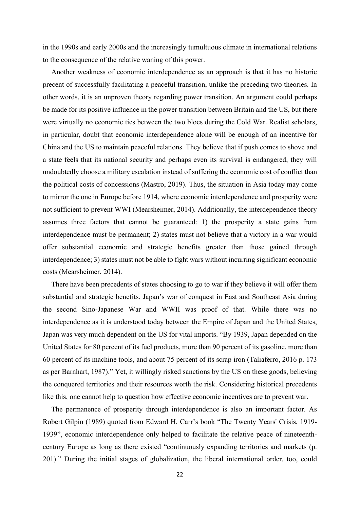in the 1990s and early 2000s and the increasingly tumultuous climate in international relations to the consequence of the relative waning of this power.

Another weakness of economic interdependence as an approach is that it has no historic precent of successfully facilitating a peaceful transition, unlike the preceding two theories. In other words, it is an unproven theory regarding power transition. An argument could perhaps be made for its positive influence in the power transition between Britain and the US, but there were virtually no economic ties between the two blocs during the Cold War. Realist scholars, in particular, doubt that economic interdependence alone will be enough of an incentive for China and the US to maintain peaceful relations. They believe that if push comes to shove and a state feels that its national security and perhaps even its survival is endangered, they will undoubtedly choose a military escalation instead of suffering the economic cost of conflict than the political costs of concessions (Mastro, 2019). Thus, the situation in Asia today may come to mirror the one in Europe before 1914, where economic interdependence and prosperity were not sufficient to prevent WWI (Mearsheimer, 2014). Additionally, the interdependence theory assumes three factors that cannot be guaranteed: 1) the prosperity a state gains from interdependence must be permanent; 2) states must not believe that a victory in a war would offer substantial economic and strategic benefits greater than those gained through interdependence; 3) states must not be able to fight wars without incurring significant economic costs (Mearsheimer, 2014).

There have been precedents of states choosing to go to war if they believe it will offer them substantial and strategic benefits. Japan's war of conquest in East and Southeast Asia during the second Sino-Japanese War and WWII was proof of that. While there was no interdependence as it is understood today between the Empire of Japan and the United States, Japan was very much dependent on the US for vital imports. "By 1939, Japan depended on the United States for 80 percent of its fuel products, more than 90 percent of its gasoline, more than 60 percent of its machine tools, and about 75 percent of its scrap iron (Taliaferro, 2016 p. 173 as per Barnhart, 1987)." Yet, it willingly risked sanctions by the US on these goods, believing the conquered territories and their resources worth the risk. Considering historical precedents like this, one cannot help to question how effective economic incentives are to prevent war.

The permanence of prosperity through interdependence is also an important factor. As Robert Gilpin (1989) quoted from Edward H. Carr's book "The Twenty Years' Crisis, 1919- 1939", economic interdependence only helped to facilitate the relative peace of nineteenthcentury Europe as long as there existed "continuously expanding territories and markets (p. 201)." During the initial stages of globalization, the liberal international order, too, could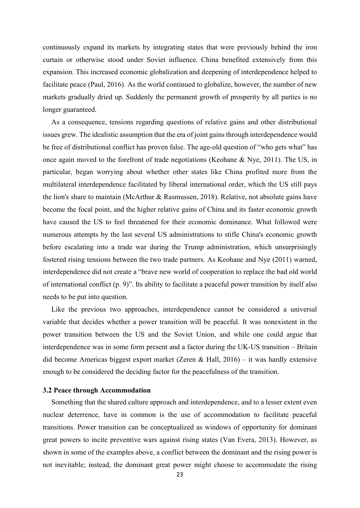continuously expand its markets by integrating states that were previously behind the iron curtain or otherwise stood under Soviet influence. China benefited extensively from this expansion. This increased economic globalization and deepening of interdependence helped to facilitate peace (Paul, 2016). As the world continued to globalize, however, the number of new markets gradually dried up. Suddenly the permanent growth of prosperity by all parties is no longer guaranteed.

As a consequence, tensions regarding questions of relative gains and other distributional issues grew. The idealistic assumption that the era of joint gains through interdependence would be free of distributional conflict has proven false. The age-old question of "who gets what" has once again moved to the forefront of trade negotiations (Keohane & Nye, 2011). The US, in particular, began worrying about whether other states like China profited more from the multilateral interdependence facilitated by liberal international order, which the US still pays the lion's share to maintain (McArthur & Rasmussen, 2018). Relative, not absolute gains have become the focal point, and the higher relative gains of China and its faster economic growth have caused the US to feel threatened for their economic dominance. What followed were numerous attempts by the last several US administrations to stifle China's economic growth before escalating into a trade war during the Trump administration, which unsurprisingly fostered rising tensions between the two trade partners. As Keohane and Nye (2011) warned, interdependence did not create a "brave new world of cooperation to replace the bad old world of international conflict (p. 9)". Its ability to facilitate a peaceful power transition by itself also needs to be put into question.

Like the previous two approaches, interdependence cannot be considered a universal variable that decides whether a power transition will be peaceful. It was nonexistent in the power transition between the US and the Soviet Union, and while one could argue that interdependence was in some form present and a factor during the UK-US transition – Britain did become Americas biggest export market (Zeren & Hall,  $2016$ ) – it was hardly extensive enough to be considered the deciding factor for the peacefulness of the transition.

#### 3.2 Peace through Accommodation

Something that the shared culture approach and interdependence, and to a lesser extent even nuclear deterrence, have in common is the use of accommodation to facilitate peaceful transitions. Power transition can be conceptualized as windows of opportunity for dominant great powers to incite preventive wars against rising states (Van Evera, 2013). However, as shown in some of the examples above, a conflict between the dominant and the rising power is not inevitable; instead, the dominant great power might choose to accommodate the rising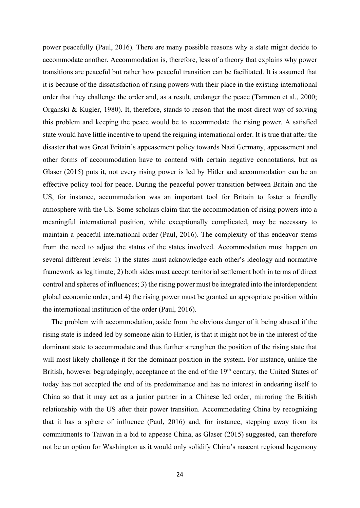power peacefully (Paul, 2016). There are many possible reasons why a state might decide to accommodate another. Accommodation is, therefore, less of a theory that explains why power transitions are peaceful but rather how peaceful transition can be facilitated. It is assumed that it is because of the dissatisfaction of rising powers with their place in the existing international order that they challenge the order and, as a result, endanger the peace (Tammen et al., 2000; Organski & Kugler, 1980). It, therefore, stands to reason that the most direct way of solving this problem and keeping the peace would be to accommodate the rising power. A satisfied state would have little incentive to upend the reigning international order. It is true that after the disaster that was Great Britain's appeasement policy towards Nazi Germany, appeasement and other forms of accommodation have to contend with certain negative connotations, but as Glaser (2015) puts it, not every rising power is led by Hitler and accommodation can be an effective policy tool for peace. During the peaceful power transition between Britain and the US, for instance, accommodation was an important tool for Britain to foster a friendly atmosphere with the US. Some scholars claim that the accommodation of rising powers into a meaningful international position, while exceptionally complicated, may be necessary to maintain a peaceful international order (Paul, 2016). The complexity of this endeavor stems from the need to adjust the status of the states involved. Accommodation must happen on several different levels: 1) the states must acknowledge each other's ideology and normative framework as legitimate; 2) both sides must accept territorial settlement both in terms of direct control and spheres of influences; 3) the rising power must be integrated into the interdependent global economic order; and 4) the rising power must be granted an appropriate position within the international institution of the order (Paul, 2016).

The problem with accommodation, aside from the obvious danger of it being abused if the rising state is indeed led by someone akin to Hitler, is that it might not be in the interest of the dominant state to accommodate and thus further strengthen the position of the rising state that will most likely challenge it for the dominant position in the system. For instance, unlike the British, however begrudgingly, acceptance at the end of the 19<sup>th</sup> century, the United States of today has not accepted the end of its predominance and has no interest in endearing itself to China so that it may act as a junior partner in a Chinese led order, mirroring the British relationship with the US after their power transition. Accommodating China by recognizing that it has a sphere of influence (Paul, 2016) and, for instance, stepping away from its commitments to Taiwan in a bid to appease China, as Glaser (2015) suggested, can therefore not be an option for Washington as it would only solidify China's nascent regional hegemony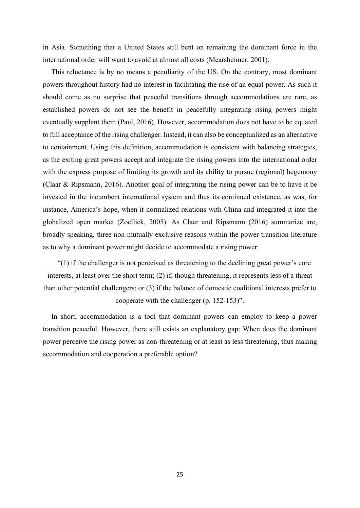in Asia. Something that a United States still bent on remaining the dominant force in the international order will want to avoid at almost all costs (Mearsheimer, 2001).

This reluctance is by no means a peculiarity of the US. On the contrary, most dominant powers throughout history had no interest in facilitating the rise of an equal power. As such it should come as no surprise that peaceful transitions through accommodations are rare, as established powers do not see the benefit in peacefully integrating rising powers might eventually supplant them (Paul, 2016). However, accommodation does not have to be equated to full acceptance of the rising challenger. Instead, it can also be conceptualized as an alternative to containment. Using this definition, accommodation is consistent with balancing strategies, as the exiting great powers accept and integrate the rising powers into the international order with the express purpose of limiting its growth and its ability to pursue (regional) hegemony (Claar & Ripsmann, 2016). Another goal of integrating the rising power can be to have it be invested in the incumbent international system and thus its continued existence, as was, for instance, America's hope, when it normalized relations with China and integrated it into the globalized open market (Zoellick, 2005). As Claar and Ripsmann (2016) summarize are, broadly speaking, three non-mutually exclusive reasons within the power transition literature as to why a dominant power might decide to accommodate a rising power:

"(1) if the challenger is not perceived as threatening to the declining great power's core interests, at least over the short term; (2) if, though threatening, it represents less of a threat than other potential challengers; or (3) if the balance of domestic coalitional interests prefer to cooperate with the challenger (p. 152-153)".

In short, accommodation is a tool that dominant powers can employ to keep a power transition peaceful. However, there still exists an explanatory gap: When does the dominant power perceive the rising power as non-threatening or at least as less threatening, thus making accommodation and cooperation a preferable option?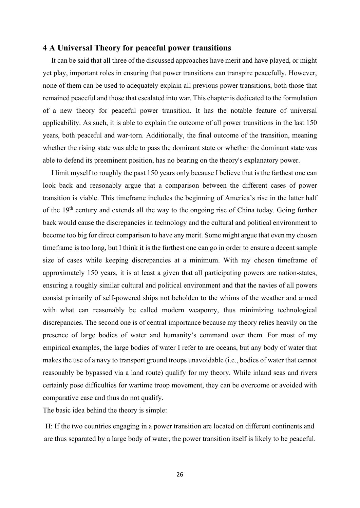# 4 A Universal Theory for peaceful power transitions

It can be said that all three of the discussed approaches have merit and have played, or might yet play, important roles in ensuring that power transitions can transpire peacefully. However, none of them can be used to adequately explain all previous power transitions, both those that remained peaceful and those that escalated into war. This chapter is dedicated to the formulation of a new theory for peaceful power transition. It has the notable feature of universal applicability. As such, it is able to explain the outcome of all power transitions in the last 150 years, both peaceful and war-torn. Additionally, the final outcome of the transition, meaning whether the rising state was able to pass the dominant state or whether the dominant state was able to defend its preeminent position, has no bearing on the theory's explanatory power.

I limit myself to roughly the past 150 years only because I believe that is the farthest one can look back and reasonably argue that a comparison between the different cases of power transition is viable. This timeframe includes the beginning of America's rise in the latter half of the 19<sup>th</sup> century and extends all the way to the ongoing rise of China today. Going further back would cause the discrepancies in technology and the cultural and political environment to become too big for direct comparison to have any merit. Some might argue that even my chosen timeframe is too long, but I think it is the furthest one can go in order to ensure a decent sample size of cases while keeping discrepancies at a minimum. With my chosen timeframe of approximately 150 years, it is at least a given that all participating powers are nation-states, ensuring a roughly similar cultural and political environment and that the navies of all powers consist primarily of self-powered ships not beholden to the whims of the weather and armed with what can reasonably be called modern weaponry, thus minimizing technological discrepancies. The second one is of central importance because my theory relies heavily on the presence of large bodies of water and humanity's command over them. For most of my empirical examples, the large bodies of water I refer to are oceans, but any body of water that makes the use of a navy to transport ground troops unavoidable (i.e., bodies of water that cannot reasonably be bypassed via a land route) qualify for my theory. While inland seas and rivers certainly pose difficulties for wartime troop movement, they can be overcome or avoided with comparative ease and thus do not qualify.

The basic idea behind the theory is simple:

H: If the two countries engaging in a power transition are located on different continents and are thus separated by a large body of water, the power transition itself is likely to be peaceful.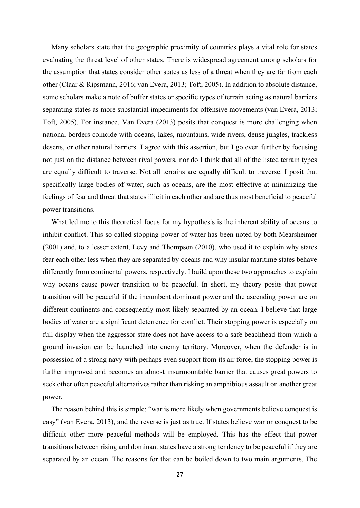Many scholars state that the geographic proximity of countries plays a vital role for states evaluating the threat level of other states. There is widespread agreement among scholars for the assumption that states consider other states as less of a threat when they are far from each other (Claar & Ripsmann, 2016; van Evera, 2013; Toft, 2005). In addition to absolute distance, some scholars make a note of buffer states or specific types of terrain acting as natural barriers separating states as more substantial impediments for offensive movements (van Evera, 2013; Toft, 2005). For instance, Van Evera (2013) posits that conquest is more challenging when national borders coincide with oceans, lakes, mountains, wide rivers, dense jungles, trackless deserts, or other natural barriers. I agree with this assertion, but I go even further by focusing not just on the distance between rival powers, nor do I think that all of the listed terrain types are equally difficult to traverse. Not all terrains are equally difficult to traverse. I posit that specifically large bodies of water, such as oceans, are the most effective at minimizing the feelings of fear and threat that states illicit in each other and are thus most beneficial to peaceful power transitions.

What led me to this theoretical focus for my hypothesis is the inherent ability of oceans to inhibit conflict. This so-called stopping power of water has been noted by both Mearsheimer (2001) and, to a lesser extent, Levy and Thompson (2010), who used it to explain why states fear each other less when they are separated by oceans and why insular maritime states behave differently from continental powers, respectively. I build upon these two approaches to explain why oceans cause power transition to be peaceful. In short, my theory posits that power transition will be peaceful if the incumbent dominant power and the ascending power are on different continents and consequently most likely separated by an ocean. I believe that large bodies of water are a significant deterrence for conflict. Their stopping power is especially on full display when the aggressor state does not have access to a safe beachhead from which a ground invasion can be launched into enemy territory. Moreover, when the defender is in possession of a strong navy with perhaps even support from its air force, the stopping power is further improved and becomes an almost insurmountable barrier that causes great powers to seek other often peaceful alternatives rather than risking an amphibious assault on another great power.

The reason behind this is simple: "war is more likely when governments believe conquest is easy" (van Evera, 2013), and the reverse is just as true. If states believe war or conquest to be difficult other more peaceful methods will be employed. This has the effect that power transitions between rising and dominant states have a strong tendency to be peaceful if they are separated by an ocean. The reasons for that can be boiled down to two main arguments. The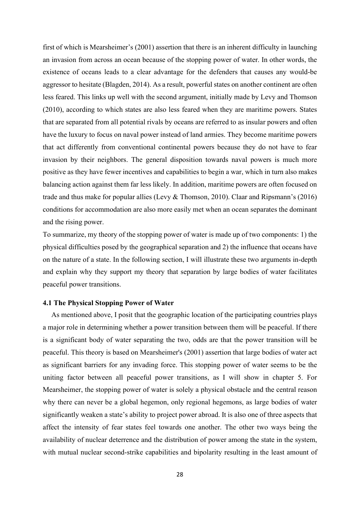first of which is Mearsheimer's (2001) assertion that there is an inherent difficulty in launching an invasion from across an ocean because of the stopping power of water. In other words, the existence of oceans leads to a clear advantage for the defenders that causes any would-be aggressor to hesitate (Blagden, 2014). As a result, powerful states on another continent are often less feared. This links up well with the second argument, initially made by Levy and Thomson (2010), according to which states are also less feared when they are maritime powers. States that are separated from all potential rivals by oceans are referred to as insular powers and often have the luxury to focus on naval power instead of land armies. They become maritime powers that act differently from conventional continental powers because they do not have to fear invasion by their neighbors. The general disposition towards naval powers is much more positive as they have fewer incentives and capabilities to begin a war, which in turn also makes balancing action against them far less likely. In addition, maritime powers are often focused on trade and thus make for popular allies (Levy & Thomson, 2010). Claar and Ripsmann's (2016) conditions for accommodation are also more easily met when an ocean separates the dominant and the rising power.

To summarize, my theory of the stopping power of water is made up of two components: 1) the physical difficulties posed by the geographical separation and 2) the influence that oceans have on the nature of a state. In the following section, I will illustrate these two arguments in-depth and explain why they support my theory that separation by large bodies of water facilitates peaceful power transitions.

#### 4.1 The Physical Stopping Power of Water

As mentioned above, I posit that the geographic location of the participating countries plays a major role in determining whether a power transition between them will be peaceful. If there is a significant body of water separating the two, odds are that the power transition will be peaceful. This theory is based on Mearsheimer's (2001) assertion that large bodies of water act as significant barriers for any invading force. This stopping power of water seems to be the uniting factor between all peaceful power transitions, as I will show in chapter 5. For Mearsheimer, the stopping power of water is solely a physical obstacle and the central reason why there can never be a global hegemon, only regional hegemons, as large bodies of water significantly weaken a state's ability to project power abroad. It is also one of three aspects that affect the intensity of fear states feel towards one another. The other two ways being the availability of nuclear deterrence and the distribution of power among the state in the system, with mutual nuclear second-strike capabilities and bipolarity resulting in the least amount of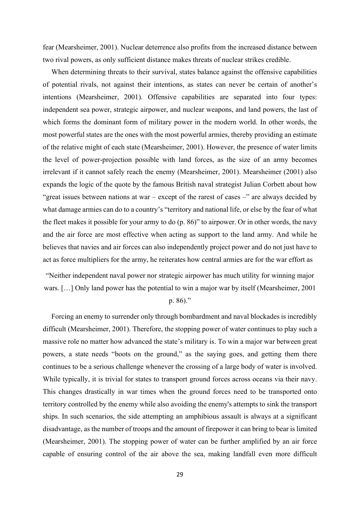fear (Mearsheimer, 2001). Nuclear deterrence also profits from the increased distance between two rival powers, as only sufficient distance makes threats of nuclear strikes credible.

When determining threats to their survival, states balance against the offensive capabilities of potential rivals, not against their intentions, as states can never be certain of another's intentions (Mearsheimer, 2001). Offensive capabilities are separated into four types: independent sea power, strategic airpower, and nuclear weapons, and land powers, the last of which forms the dominant form of military power in the modern world. In other words, the most powerful states are the ones with the most powerful armies, thereby providing an estimate of the relative might of each state (Mearsheimer, 2001). However, the presence of water limits the level of power-projection possible with land forces, as the size of an army becomes irrelevant if it cannot safely reach the enemy (Mearsheimer, 2001). Mearsheimer (2001) also expands the logic of the quote by the famous British naval strategist Julian Corbett about how "great issues between nations at war – except of the rarest of cases –" are always decided by what damage armies can do to a country's "territory and national life, or else by the fear of what the fleet makes it possible for your army to do (p. 86)" to airpower. Or in other words, the navy and the air force are most effective when acting as support to the land army. And while he believes that navies and air forces can also independently project power and do not just have to act as force multipliers for the army, he reiterates how central armies are for the war effort as

"Neither independent naval power nor strategic airpower has much utility for winning major wars. […] Only land power has the potential to win a major war by itself (Mearsheimer, 2001

# p. 86)."

Forcing an enemy to surrender only through bombardment and naval blockades is incredibly difficult (Mearsheimer, 2001). Therefore, the stopping power of water continues to play such a massive role no matter how advanced the state's military is. To win a major war between great powers, a state needs "boots on the ground," as the saying goes, and getting them there continues to be a serious challenge whenever the crossing of a large body of water is involved. While typically, it is trivial for states to transport ground forces across oceans via their navy. This changes drastically in war times when the ground forces need to be transported onto territory controlled by the enemy while also avoiding the enemy's attempts to sink the transport ships. In such scenarios, the side attempting an amphibious assault is always at a significant disadvantage, as the number of troops and the amount of firepower it can bring to bear is limited (Mearsheimer, 2001). The stopping power of water can be further amplified by an air force capable of ensuring control of the air above the sea, making landfall even more difficult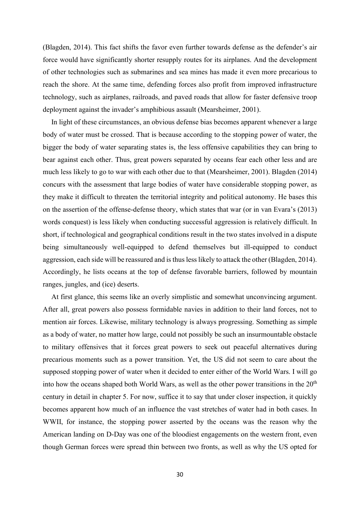(Blagden, 2014). This fact shifts the favor even further towards defense as the defender's air force would have significantly shorter resupply routes for its airplanes. And the development of other technologies such as submarines and sea mines has made it even more precarious to reach the shore. At the same time, defending forces also profit from improved infrastructure technology, such as airplanes, railroads, and paved roads that allow for faster defensive troop deployment against the invader's amphibious assault (Mearsheimer, 2001).

In light of these circumstances, an obvious defense bias becomes apparent whenever a large body of water must be crossed. That is because according to the stopping power of water, the bigger the body of water separating states is, the less offensive capabilities they can bring to bear against each other. Thus, great powers separated by oceans fear each other less and are much less likely to go to war with each other due to that (Mearsheimer, 2001). Blagden (2014) concurs with the assessment that large bodies of water have considerable stopping power, as they make it difficult to threaten the territorial integrity and political autonomy. He bases this on the assertion of the offense-defense theory, which states that war (or in van Evara's (2013) words conquest) is less likely when conducting successful aggression is relatively difficult. In short, if technological and geographical conditions result in the two states involved in a dispute being simultaneously well-equipped to defend themselves but ill-equipped to conduct aggression, each side will be reassured and is thus less likely to attack the other (Blagden, 2014). Accordingly, he lists oceans at the top of defense favorable barriers, followed by mountain ranges, jungles, and (ice) deserts.

At first glance, this seems like an overly simplistic and somewhat unconvincing argument. After all, great powers also possess formidable navies in addition to their land forces, not to mention air forces. Likewise, military technology is always progressing. Something as simple as a body of water, no matter how large, could not possibly be such an insurmountable obstacle to military offensives that it forces great powers to seek out peaceful alternatives during precarious moments such as a power transition. Yet, the US did not seem to care about the supposed stopping power of water when it decided to enter either of the World Wars. I will go into how the oceans shaped both World Wars, as well as the other power transitions in the  $20<sup>th</sup>$ century in detail in chapter 5. For now, suffice it to say that under closer inspection, it quickly becomes apparent how much of an influence the vast stretches of water had in both cases. In WWII, for instance, the stopping power asserted by the oceans was the reason why the American landing on D-Day was one of the bloodiest engagements on the western front, even though German forces were spread thin between two fronts, as well as why the US opted for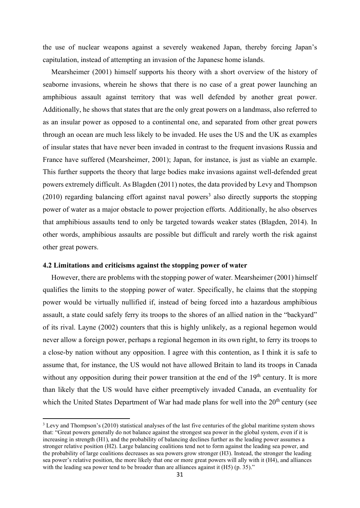the use of nuclear weapons against a severely weakened Japan, thereby forcing Japan's capitulation, instead of attempting an invasion of the Japanese home islands.

Mearsheimer (2001) himself supports his theory with a short overview of the history of seaborne invasions, wherein he shows that there is no case of a great power launching an amphibious assault against territory that was well defended by another great power. Additionally, he shows that states that are the only great powers on a landmass, also referred to as an insular power as opposed to a continental one, and separated from other great powers through an ocean are much less likely to be invaded. He uses the US and the UK as examples of insular states that have never been invaded in contrast to the frequent invasions Russia and France have suffered (Mearsheimer, 2001); Japan, for instance, is just as viable an example. This further supports the theory that large bodies make invasions against well-defended great powers extremely difficult. As Blagden (2011) notes, the data provided by Levy and Thompson  $(2010)$  regarding balancing effort against naval powers<sup>3</sup> also directly supports the stopping power of water as a major obstacle to power projection efforts. Additionally, he also observes that amphibious assaults tend to only be targeted towards weaker states (Blagden, 2014). In other words, amphibious assaults are possible but difficult and rarely worth the risk against other great powers.

#### 4.2 Limitations and criticisms against the stopping power of water

However, there are problems with the stopping power of water. Mearsheimer (2001) himself qualifies the limits to the stopping power of water. Specifically, he claims that the stopping power would be virtually nullified if, instead of being forced into a hazardous amphibious assault, a state could safely ferry its troops to the shores of an allied nation in the "backyard" of its rival. Layne (2002) counters that this is highly unlikely, as a regional hegemon would never allow a foreign power, perhaps a regional hegemon in its own right, to ferry its troops to a close-by nation without any opposition. I agree with this contention, as I think it is safe to assume that, for instance, the US would not have allowed Britain to land its troops in Canada without any opposition during their power transition at the end of the  $19<sup>th</sup>$  century. It is more than likely that the US would have either preemptively invaded Canada, an eventuality for which the United States Department of War had made plans for well into the  $20<sup>th</sup>$  century (see

 $3$  Levy and Thompson's (2010) statistical analyses of the last five centuries of the global maritime system shows that: "Great powers generally do not balance against the strongest sea power in the global system, even if it is increasing in strength (H1), and the probability of balancing declines further as the leading power assumes a stronger relative position (H2). Large balancing coalitions tend not to form against the leading sea power, and the probability of large coalitions decreases as sea powers grow stronger (H3). Instead, the stronger the leading sea power's relative position, the more likely that one or more great powers will ally with it (H4), and alliances with the leading sea power tend to be broader than are alliances against it  $(H5)$  (p. 35)."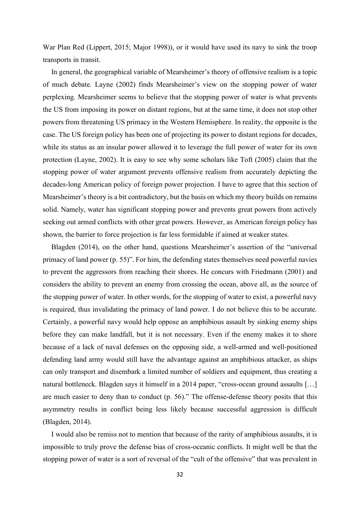War Plan Red (Lippert, 2015; Major 1998)), or it would have used its navy to sink the troop transports in transit.

In general, the geographical variable of Mearsheimer's theory of offensive realism is a topic of much debate. Layne (2002) finds Mearsheimer's view on the stopping power of water perplexing. Mearsheimer seems to believe that the stopping power of water is what prevents the US from imposing its power on distant regions, but at the same time, it does not stop other powers from threatening US primacy in the Western Hemisphere. In reality, the opposite is the case. The US foreign policy has been one of projecting its power to distant regions for decades, while its status as an insular power allowed it to leverage the full power of water for its own protection (Layne, 2002). It is easy to see why some scholars like Toft (2005) claim that the stopping power of water argument prevents offensive realism from accurately depicting the decades-long American policy of foreign power projection. I have to agree that this section of Mearsheimer's theory is a bit contradictory, but the basis on which my theory builds on remains solid. Namely, water has significant stopping power and prevents great powers from actively seeking out armed conflicts with other great powers. However, as American foreign policy has shown, the barrier to force projection is far less formidable if aimed at weaker states.

Blagden (2014), on the other hand, questions Mearsheimer's assertion of the "universal primacy of land power (p. 55)". For him, the defending states themselves need powerful navies to prevent the aggressors from reaching their shores. He concurs with Friedmann (2001) and considers the ability to prevent an enemy from crossing the ocean, above all, as the source of the stopping power of water. In other words, for the stopping of water to exist, a powerful navy is required, thus invalidating the primacy of land power. I do not believe this to be accurate. Certainly, a powerful navy would help oppose an amphibious assault by sinking enemy ships before they can make landfall, but it is not necessary. Even if the enemy makes it to shore because of a lack of naval defenses on the opposing side, a well-armed and well-positioned defending land army would still have the advantage against an amphibious attacker, as ships can only transport and disembark a limited number of soldiers and equipment, thus creating a natural bottleneck. Blagden says it himself in a 2014 paper, "cross-ocean ground assaults [...] are much easier to deny than to conduct (p. 56)." The offense-defense theory posits that this asymmetry results in conflict being less likely because successful aggression is difficult (Blagden, 2014).

I would also be remiss not to mention that because of the rarity of amphibious assaults, it is impossible to truly prove the defense bias of cross-oceanic conflicts. It might well be that the stopping power of water is a sort of reversal of the "cult of the offensive" that was prevalent in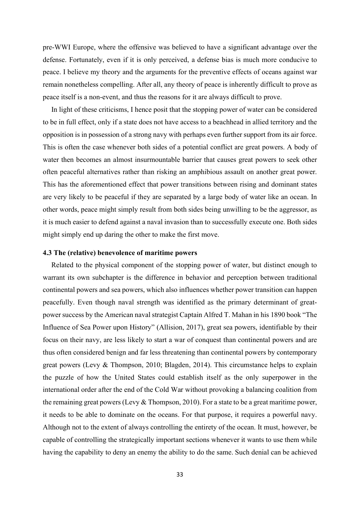pre-WWI Europe, where the offensive was believed to have a significant advantage over the defense. Fortunately, even if it is only perceived, a defense bias is much more conducive to peace. I believe my theory and the arguments for the preventive effects of oceans against war remain nonetheless compelling. After all, any theory of peace is inherently difficult to prove as peace itself is a non-event, and thus the reasons for it are always difficult to prove.

In light of these criticisms, I hence posit that the stopping power of water can be considered to be in full effect, only if a state does not have access to a beachhead in allied territory and the opposition is in possession of a strong navy with perhaps even further support from its air force. This is often the case whenever both sides of a potential conflict are great powers. A body of water then becomes an almost insurmountable barrier that causes great powers to seek other often peaceful alternatives rather than risking an amphibious assault on another great power. This has the aforementioned effect that power transitions between rising and dominant states are very likely to be peaceful if they are separated by a large body of water like an ocean. In other words, peace might simply result from both sides being unwilling to be the aggressor, as it is much easier to defend against a naval invasion than to successfully execute one. Both sides might simply end up daring the other to make the first move.

#### 4.3 The (relative) benevolence of maritime powers

Related to the physical component of the stopping power of water, but distinct enough to warrant its own subchapter is the difference in behavior and perception between traditional continental powers and sea powers, which also influences whether power transition can happen peacefully. Even though naval strength was identified as the primary determinant of greatpower success by the American naval strategist Captain Alfred T. Mahan in his 1890 book "The Influence of Sea Power upon History" (Allision, 2017), great sea powers, identifiable by their focus on their navy, are less likely to start a war of conquest than continental powers and are thus often considered benign and far less threatening than continental powers by contemporary great powers (Levy & Thompson, 2010; Blagden, 2014). This circumstance helps to explain the puzzle of how the United States could establish itself as the only superpower in the international order after the end of the Cold War without provoking a balancing coalition from the remaining great powers (Levy & Thompson, 2010). For a state to be a great maritime power, it needs to be able to dominate on the oceans. For that purpose, it requires a powerful navy. Although not to the extent of always controlling the entirety of the ocean. It must, however, be capable of controlling the strategically important sections whenever it wants to use them while having the capability to deny an enemy the ability to do the same. Such denial can be achieved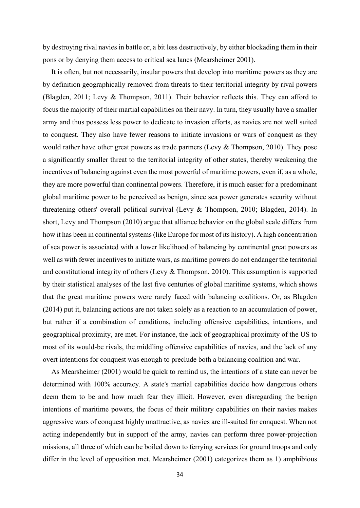by destroying rival navies in battle or, a bit less destructively, by either blockading them in their pons or by denying them access to critical sea lanes (Mearsheimer 2001).

It is often, but not necessarily, insular powers that develop into maritime powers as they are by definition geographically removed from threats to their territorial integrity by rival powers (Blagden, 2011; Levy & Thompson, 2011). Their behavior reflects this. They can afford to focus the majority of their martial capabilities on their navy. In turn, they usually have a smaller army and thus possess less power to dedicate to invasion efforts, as navies are not well suited to conquest. They also have fewer reasons to initiate invasions or wars of conquest as they would rather have other great powers as trade partners (Levy  $\&$  Thompson, 2010). They pose a significantly smaller threat to the territorial integrity of other states, thereby weakening the incentives of balancing against even the most powerful of maritime powers, even if, as a whole, they are more powerful than continental powers. Therefore, it is much easier for a predominant global maritime power to be perceived as benign, since sea power generates security without threatening others' overall political survival (Levy & Thompson, 2010; Blagden, 2014). In short, Levy and Thompson (2010) argue that alliance behavior on the global scale differs from how it has been in continental systems (like Europe for most of its history). A high concentration of sea power is associated with a lower likelihood of balancing by continental great powers as well as with fewer incentives to initiate wars, as maritime powers do not endanger the territorial and constitutional integrity of others (Levy & Thompson, 2010). This assumption is supported by their statistical analyses of the last five centuries of global maritime systems, which shows that the great maritime powers were rarely faced with balancing coalitions. Or, as Blagden (2014) put it, balancing actions are not taken solely as a reaction to an accumulation of power, but rather if a combination of conditions, including offensive capabilities, intentions, and geographical proximity, are met. For instance, the lack of geographical proximity of the US to most of its would-be rivals, the middling offensive capabilities of navies, and the lack of any overt intentions for conquest was enough to preclude both a balancing coalition and war.

As Mearsheimer (2001) would be quick to remind us, the intentions of a state can never be determined with 100% accuracy. A state's martial capabilities decide how dangerous others deem them to be and how much fear they illicit. However, even disregarding the benign intentions of maritime powers, the focus of their military capabilities on their navies makes aggressive wars of conquest highly unattractive, as navies are ill-suited for conquest. When not acting independently but in support of the army, navies can perform three power-projection missions, all three of which can be boiled down to ferrying services for ground troops and only differ in the level of opposition met. Mearsheimer (2001) categorizes them as 1) amphibious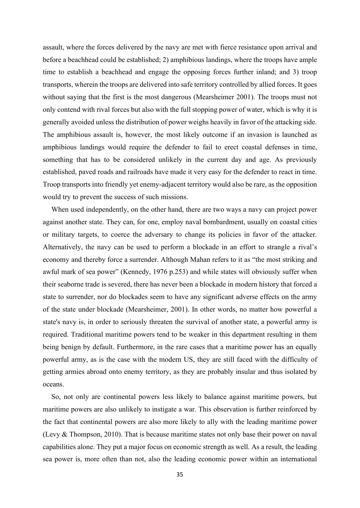assault, where the forces delivered by the navy are met with fierce resistance upon arrival and before a beachhead could be established; 2) amphibious landings, where the troops have ample time to establish a beachhead and engage the opposing forces further inland; and 3) troop transports, wherein the troops are delivered into safe territory controlled by allied forces. It goes without saying that the first is the most dangerous (Mearsheimer 2001). The troops must not only contend with rival forces but also with the full stopping power of water, which is why it is generally avoided unless the distribution of power weighs heavily in favor of the attacking side. The amphibious assault is, however, the most likely outcome if an invasion is launched as amphibious landings would require the defender to fail to erect coastal defenses in time, something that has to be considered unlikely in the current day and age. As previously established, paved roads and railroads have made it very easy for the defender to react in time. Troop transports into friendly yet enemy-adjacent territory would also be rare, as the opposition would try to prevent the success of such missions.

When used independently, on the other hand, there are two ways a navy can project power against another state. They can, for one, employ naval bombardment, usually on coastal cities or military targets, to coerce the adversary to change its policies in favor of the attacker. Alternatively, the navy can be used to perform a blockade in an effort to strangle a rival's economy and thereby force a surrender. Although Mahan refers to it as "the most striking and awful mark of sea power" (Kennedy, 1976 p.253) and while states will obviously suffer when their seaborne trade is severed, there has never been a blockade in modern history that forced a state to surrender, nor do blockades seem to have any significant adverse effects on the army of the state under blockade (Mearsheimer, 2001). In other words, no matter how powerful a state's navy is, in order to seriously threaten the survival of another state, a powerful army is required. Traditional maritime powers tend to be weaker in this department resulting in them being benign by default. Furthermore, in the rare cases that a maritime power has an equally powerful army, as is the case with the modern US, they are still faced with the difficulty of getting armies abroad onto enemy territory, as they are probably insular and thus isolated by oceans.

So, not only are continental powers less likely to balance against maritime powers, but maritime powers are also unlikely to instigate a war. This observation is further reinforced by the fact that continental powers are also more likely to ally with the leading maritime power (Levy & Thompson, 2010). That is because maritime states not only base their power on naval capabilities alone. They put a major focus on economic strength as well. As a result, the leading sea power is, more often than not, also the leading economic power within an international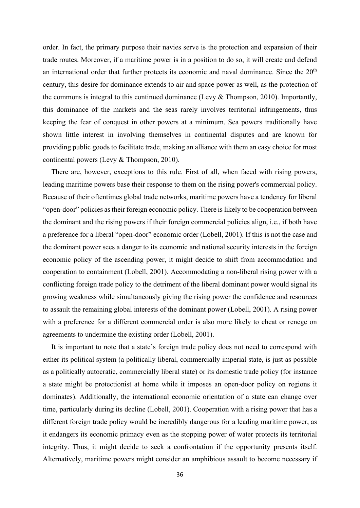order. In fact, the primary purpose their navies serve is the protection and expansion of their trade routes. Moreover, if a maritime power is in a position to do so, it will create and defend an international order that further protects its economic and naval dominance. Since the  $20<sup>th</sup>$ century, this desire for dominance extends to air and space power as well, as the protection of the commons is integral to this continued dominance (Levy & Thompson, 2010). Importantly, this dominance of the markets and the seas rarely involves territorial infringements, thus keeping the fear of conquest in other powers at a minimum. Sea powers traditionally have shown little interest in involving themselves in continental disputes and are known for providing public goods to facilitate trade, making an alliance with them an easy choice for most continental powers (Levy & Thompson, 2010).

There are, however, exceptions to this rule. First of all, when faced with rising powers, leading maritime powers base their response to them on the rising power's commercial policy. Because of their oftentimes global trade networks, maritime powers have a tendency for liberal "open-door" policies as their foreign economic policy. There is likely to be cooperation between the dominant and the rising powers if their foreign commercial policies align, i.e., if both have a preference for a liberal "open-door" economic order (Lobell, 2001). If this is not the case and the dominant power sees a danger to its economic and national security interests in the foreign economic policy of the ascending power, it might decide to shift from accommodation and cooperation to containment (Lobell, 2001). Accommodating a non-liberal rising power with a conflicting foreign trade policy to the detriment of the liberal dominant power would signal its growing weakness while simultaneously giving the rising power the confidence and resources to assault the remaining global interests of the dominant power (Lobell, 2001). A rising power with a preference for a different commercial order is also more likely to cheat or renege on agreements to undermine the existing order (Lobell, 2001).

It is important to note that a state's foreign trade policy does not need to correspond with either its political system (a politically liberal, commercially imperial state, is just as possible as a politically autocratic, commercially liberal state) or its domestic trade policy (for instance a state might be protectionist at home while it imposes an open-door policy on regions it dominates). Additionally, the international economic orientation of a state can change over time, particularly during its decline (Lobell, 2001). Cooperation with a rising power that has a different foreign trade policy would be incredibly dangerous for a leading maritime power, as it endangers its economic primacy even as the stopping power of water protects its territorial integrity. Thus, it might decide to seek a confrontation if the opportunity presents itself. Alternatively, maritime powers might consider an amphibious assault to become necessary if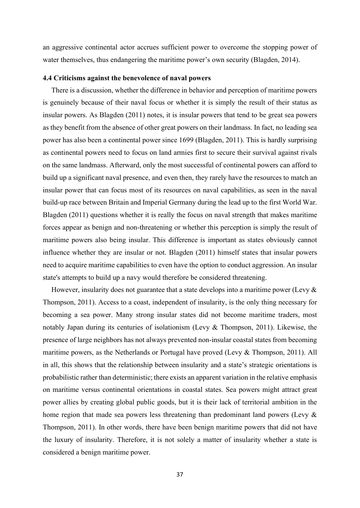an aggressive continental actor accrues sufficient power to overcome the stopping power of water themselves, thus endangering the maritime power's own security (Blagden, 2014).

# 4.4 Criticisms against the benevolence of naval powers

There is a discussion, whether the difference in behavior and perception of maritime powers is genuinely because of their naval focus or whether it is simply the result of their status as insular powers. As Blagden (2011) notes, it is insular powers that tend to be great sea powers as they benefit from the absence of other great powers on their landmass. In fact, no leading sea power has also been a continental power since 1699 (Blagden, 2011). This is hardly surprising as continental powers need to focus on land armies first to secure their survival against rivals on the same landmass. Afterward, only the most successful of continental powers can afford to build up a significant naval presence, and even then, they rarely have the resources to match an insular power that can focus most of its resources on naval capabilities, as seen in the naval build-up race between Britain and Imperial Germany during the lead up to the first World War. Blagden (2011) questions whether it is really the focus on naval strength that makes maritime forces appear as benign and non-threatening or whether this perception is simply the result of maritime powers also being insular. This difference is important as states obviously cannot influence whether they are insular or not. Blagden (2011) himself states that insular powers need to acquire maritime capabilities to even have the option to conduct aggression. An insular state's attempts to build up a navy would therefore be considered threatening.

However, insularity does not guarantee that a state develops into a maritime power (Levy & Thompson, 2011). Access to a coast, independent of insularity, is the only thing necessary for becoming a sea power. Many strong insular states did not become maritime traders, most notably Japan during its centuries of isolationism (Levy & Thompson, 2011). Likewise, the presence of large neighbors has not always prevented non-insular coastal states from becoming maritime powers, as the Netherlands or Portugal have proved (Levy & Thompson, 2011). All in all, this shows that the relationship between insularity and a state's strategic orientations is probabilistic rather than deterministic; there exists an apparent variation in the relative emphasis on maritime versus continental orientations in coastal states. Sea powers might attract great power allies by creating global public goods, but it is their lack of territorial ambition in the home region that made sea powers less threatening than predominant land powers (Levy & Thompson, 2011). In other words, there have been benign maritime powers that did not have the luxury of insularity. Therefore, it is not solely a matter of insularity whether a state is considered a benign maritime power.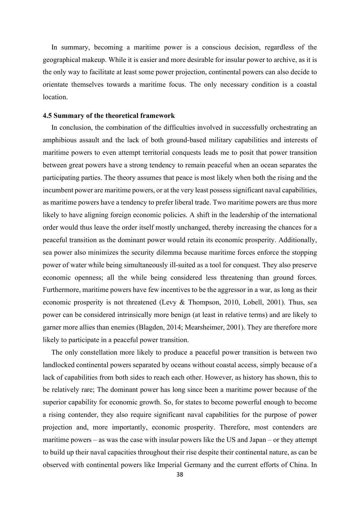In summary, becoming a maritime power is a conscious decision, regardless of the geographical makeup. While it is easier and more desirable for insular power to archive, as it is the only way to facilitate at least some power projection, continental powers can also decide to orientate themselves towards a maritime focus. The only necessary condition is a coastal location.

## 4.5 Summary of the theoretical framework

In conclusion, the combination of the difficulties involved in successfully orchestrating an amphibious assault and the lack of both ground-based military capabilities and interests of maritime powers to even attempt territorial conquests leads me to posit that power transition between great powers have a strong tendency to remain peaceful when an ocean separates the participating parties. The theory assumes that peace is most likely when both the rising and the incumbent power are maritime powers, or at the very least possess significant naval capabilities, as maritime powers have a tendency to prefer liberal trade. Two maritime powers are thus more likely to have aligning foreign economic policies. A shift in the leadership of the international order would thus leave the order itself mostly unchanged, thereby increasing the chances for a peaceful transition as the dominant power would retain its economic prosperity. Additionally, sea power also minimizes the security dilemma because maritime forces enforce the stopping power of water while being simultaneously ill-suited as a tool for conquest. They also preserve economic openness; all the while being considered less threatening than ground forces. Furthermore, maritime powers have few incentives to be the aggressor in a war, as long as their economic prosperity is not threatened (Levy & Thompson, 2010, Lobell, 2001). Thus, sea power can be considered intrinsically more benign (at least in relative terms) and are likely to garner more allies than enemies (Blagden, 2014; Mearsheimer, 2001). They are therefore more likely to participate in a peaceful power transition.

The only constellation more likely to produce a peaceful power transition is between two landlocked continental powers separated by oceans without coastal access, simply because of a lack of capabilities from both sides to reach each other. However, as history has shown, this to be relatively rare; The dominant power has long since been a maritime power because of the superior capability for economic growth. So, for states to become powerful enough to become a rising contender, they also require significant naval capabilities for the purpose of power projection and, more importantly, economic prosperity. Therefore, most contenders are maritime powers – as was the case with insular powers like the US and Japan – or they attempt to build up their naval capacities throughout their rise despite their continental nature, as can be observed with continental powers like Imperial Germany and the current efforts of China. In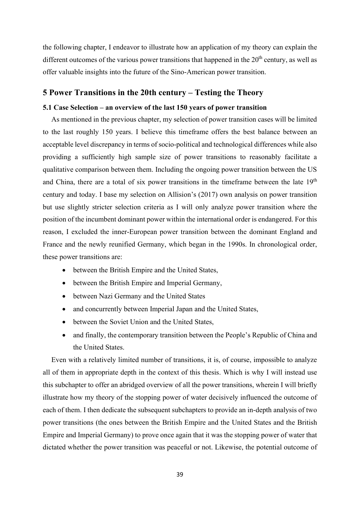the following chapter, I endeavor to illustrate how an application of my theory can explain the different outcomes of the various power transitions that happened in the  $20<sup>th</sup>$  century, as well as offer valuable insights into the future of the Sino-American power transition.

# 5 Power Transitions in the 20th century – Testing the Theory

# 5.1 Case Selection – an overview of the last 150 years of power transition

As mentioned in the previous chapter, my selection of power transition cases will be limited to the last roughly 150 years. I believe this timeframe offers the best balance between an acceptable level discrepancy in terms of socio-political and technological differences while also providing a sufficiently high sample size of power transitions to reasonably facilitate a qualitative comparison between them. Including the ongoing power transition between the US and China, there are a total of six power transitions in the timeframe between the late  $19<sup>th</sup>$ century and today. I base my selection on Allision's (2017) own analysis on power transition but use slightly stricter selection criteria as I will only analyze power transition where the position of the incumbent dominant power within the international order is endangered. For this reason, I excluded the inner-European power transition between the dominant England and France and the newly reunified Germany, which began in the 1990s. In chronological order, these power transitions are:

- between the British Empire and the United States,
- between the British Empire and Imperial Germany,
- between Nazi Germany and the United States
- and concurrently between Imperial Japan and the United States,
- between the Soviet Union and the United States,
- and finally, the contemporary transition between the People's Republic of China and the United States.

Even with a relatively limited number of transitions, it is, of course, impossible to analyze all of them in appropriate depth in the context of this thesis. Which is why I will instead use this subchapter to offer an abridged overview of all the power transitions, wherein I will briefly illustrate how my theory of the stopping power of water decisively influenced the outcome of each of them. I then dedicate the subsequent subchapters to provide an in-depth analysis of two power transitions (the ones between the British Empire and the United States and the British Empire and Imperial Germany) to prove once again that it was the stopping power of water that dictated whether the power transition was peaceful or not. Likewise, the potential outcome of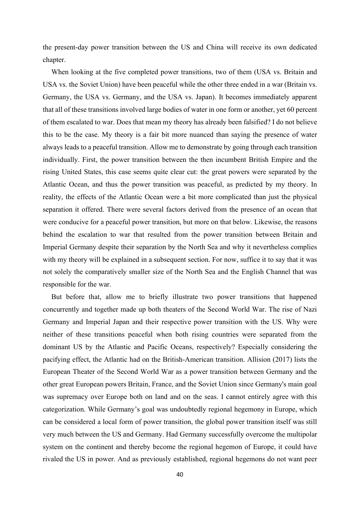the present-day power transition between the US and China will receive its own dedicated chapter.

When looking at the five completed power transitions, two of them (USA vs. Britain and USA vs. the Soviet Union) have been peaceful while the other three ended in a war (Britain vs. Germany, the USA vs. Germany, and the USA vs. Japan). It becomes immediately apparent that all of these transitions involved large bodies of water in one form or another, yet 60 percent of them escalated to war. Does that mean my theory has already been falsified? I do not believe this to be the case. My theory is a fair bit more nuanced than saying the presence of water always leads to a peaceful transition. Allow me to demonstrate by going through each transition individually. First, the power transition between the then incumbent British Empire and the rising United States, this case seems quite clear cut: the great powers were separated by the Atlantic Ocean, and thus the power transition was peaceful, as predicted by my theory. In reality, the effects of the Atlantic Ocean were a bit more complicated than just the physical separation it offered. There were several factors derived from the presence of an ocean that were conducive for a peaceful power transition, but more on that below. Likewise, the reasons behind the escalation to war that resulted from the power transition between Britain and Imperial Germany despite their separation by the North Sea and why it nevertheless complies with my theory will be explained in a subsequent section. For now, suffice it to say that it was not solely the comparatively smaller size of the North Sea and the English Channel that was responsible for the war.

But before that, allow me to briefly illustrate two power transitions that happened concurrently and together made up both theaters of the Second World War. The rise of Nazi Germany and Imperial Japan and their respective power transition with the US. Why were neither of these transitions peaceful when both rising countries were separated from the dominant US by the Atlantic and Pacific Oceans, respectively? Especially considering the pacifying effect, the Atlantic had on the British-American transition. Allision (2017) lists the European Theater of the Second World War as a power transition between Germany and the other great European powers Britain, France, and the Soviet Union since Germany's main goal was supremacy over Europe both on land and on the seas. I cannot entirely agree with this categorization. While Germany's goal was undoubtedly regional hegemony in Europe, which can be considered a local form of power transition, the global power transition itself was still very much between the US and Germany. Had Germany successfully overcome the multipolar system on the continent and thereby become the regional hegemon of Europe, it could have rivaled the US in power. And as previously established, regional hegemons do not want peer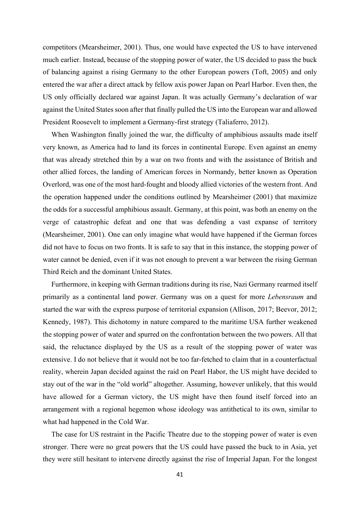competitors (Mearsheimer, 2001). Thus, one would have expected the US to have intervened much earlier. Instead, because of the stopping power of water, the US decided to pass the buck of balancing against a rising Germany to the other European powers (Toft, 2005) and only entered the war after a direct attack by fellow axis power Japan on Pearl Harbor. Even then, the US only officially declared war against Japan. It was actually Germany's declaration of war against the United States soon after that finally pulled the US into the European war and allowed President Roosevelt to implement a Germany-first strategy (Taliaferro, 2012).

When Washington finally joined the war, the difficulty of amphibious assaults made itself very known, as America had to land its forces in continental Europe. Even against an enemy that was already stretched thin by a war on two fronts and with the assistance of British and other allied forces, the landing of American forces in Normandy, better known as Operation Overlord, was one of the most hard-fought and bloody allied victories of the western front. And the operation happened under the conditions outlined by Mearsheimer (2001) that maximize the odds for a successful amphibious assault. Germany, at this point, was both an enemy on the verge of catastrophic defeat and one that was defending a vast expanse of territory (Mearsheimer, 2001). One can only imagine what would have happened if the German forces did not have to focus on two fronts. It is safe to say that in this instance, the stopping power of water cannot be denied, even if it was not enough to prevent a war between the rising German Third Reich and the dominant United States.

Furthermore, in keeping with German traditions during its rise, Nazi Germany rearmed itself primarily as a continental land power. Germany was on a quest for more Lebensraum and started the war with the express purpose of territorial expansion (Allison, 2017; Beevor, 2012; Kennedy, 1987). This dichotomy in nature compared to the maritime USA further weakened the stopping power of water and spurred on the confrontation between the two powers. All that said, the reluctance displayed by the US as a result of the stopping power of water was extensive. I do not believe that it would not be too far-fetched to claim that in a counterfactual reality, wherein Japan decided against the raid on Pearl Habor, the US might have decided to stay out of the war in the "old world" altogether. Assuming, however unlikely, that this would have allowed for a German victory, the US might have then found itself forced into an arrangement with a regional hegemon whose ideology was antithetical to its own, similar to what had happened in the Cold War.

The case for US restraint in the Pacific Theatre due to the stopping power of water is even stronger. There were no great powers that the US could have passed the buck to in Asia, yet they were still hesitant to intervene directly against the rise of Imperial Japan. For the longest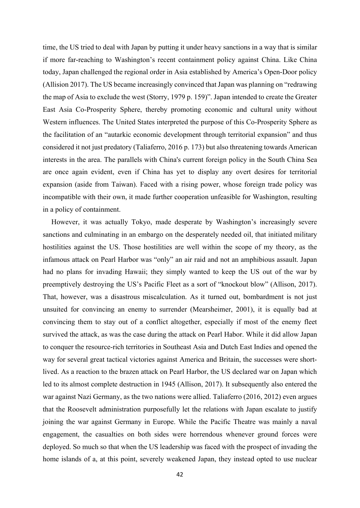time, the US tried to deal with Japan by putting it under heavy sanctions in a way that is similar if more far-reaching to Washington's recent containment policy against China. Like China today, Japan challenged the regional order in Asia established by America's Open-Door policy (Allision 2017). The US became increasingly convinced that Japan was planning on "redrawing the map of Asia to exclude the west (Storry, 1979 p. 159)". Japan intended to create the Greater East Asia Co-Prosperity Sphere, thereby promoting economic and cultural unity without Western influences. The United States interpreted the purpose of this Co-Prosperity Sphere as the facilitation of an "autarkic economic development through territorial expansion" and thus considered it not just predatory (Taliaferro, 2016 p. 173) but also threatening towards American interests in the area. The parallels with China's current foreign policy in the South China Sea are once again evident, even if China has yet to display any overt desires for territorial expansion (aside from Taiwan). Faced with a rising power, whose foreign trade policy was incompatible with their own, it made further cooperation unfeasible for Washington, resulting in a policy of containment.

However, it was actually Tokyo, made desperate by Washington's increasingly severe sanctions and culminating in an embargo on the desperately needed oil, that initiated military hostilities against the US. Those hostilities are well within the scope of my theory, as the infamous attack on Pearl Harbor was "only" an air raid and not an amphibious assault. Japan had no plans for invading Hawaii; they simply wanted to keep the US out of the war by preemptively destroying the US's Pacific Fleet as a sort of "knockout blow" (Allison, 2017). That, however, was a disastrous miscalculation. As it turned out, bombardment is not just unsuited for convincing an enemy to surrender (Mearsheimer, 2001), it is equally bad at convincing them to stay out of a conflict altogether, especially if most of the enemy fleet survived the attack, as was the case during the attack on Pearl Habor. While it did allow Japan to conquer the resource-rich territories in Southeast Asia and Dutch East Indies and opened the way for several great tactical victories against America and Britain, the successes were shortlived. As a reaction to the brazen attack on Pearl Harbor, the US declared war on Japan which led to its almost complete destruction in 1945 (Allison, 2017). It subsequently also entered the war against Nazi Germany, as the two nations were allied. Taliaferro (2016, 2012) even argues that the Roosevelt administration purposefully let the relations with Japan escalate to justify joining the war against Germany in Europe. While the Pacific Theatre was mainly a naval engagement, the casualties on both sides were horrendous whenever ground forces were deployed. So much so that when the US leadership was faced with the prospect of invading the home islands of a, at this point, severely weakened Japan, they instead opted to use nuclear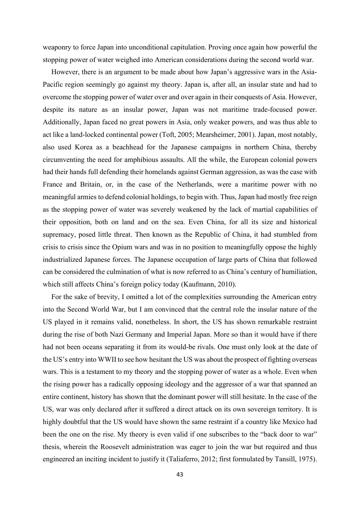weaponry to force Japan into unconditional capitulation. Proving once again how powerful the stopping power of water weighed into American considerations during the second world war.

However, there is an argument to be made about how Japan's aggressive wars in the Asia-Pacific region seemingly go against my theory. Japan is, after all, an insular state and had to overcome the stopping power of water over and over again in their conquests of Asia. However, despite its nature as an insular power, Japan was not maritime trade-focused power. Additionally, Japan faced no great powers in Asia, only weaker powers, and was thus able to act like a land-locked continental power (Toft, 2005; Mearsheimer, 2001). Japan, most notably, also used Korea as a beachhead for the Japanese campaigns in northern China, thereby circumventing the need for amphibious assaults. All the while, the European colonial powers had their hands full defending their homelands against German aggression, as was the case with France and Britain, or, in the case of the Netherlands, were a maritime power with no meaningful armies to defend colonial holdings, to begin with. Thus, Japan had mostly free reign as the stopping power of water was severely weakened by the lack of martial capabilities of their opposition, both on land and on the sea. Even China, for all its size and historical supremacy, posed little threat. Then known as the Republic of China, it had stumbled from crisis to crisis since the Opium wars and was in no position to meaningfully oppose the highly industrialized Japanese forces. The Japanese occupation of large parts of China that followed can be considered the culmination of what is now referred to as China's century of humiliation, which still affects China's foreign policy today (Kaufmann, 2010).

For the sake of brevity, I omitted a lot of the complexities surrounding the American entry into the Second World War, but I am convinced that the central role the insular nature of the US played in it remains valid, nonetheless. In short, the US has shown remarkable restraint during the rise of both Nazi Germany and Imperial Japan. More so than it would have if there had not been oceans separating it from its would-be rivals. One must only look at the date of the US's entry into WWII to see how hesitant the US was about the prospect of fighting overseas wars. This is a testament to my theory and the stopping power of water as a whole. Even when the rising power has a radically opposing ideology and the aggressor of a war that spanned an entire continent, history has shown that the dominant power will still hesitate. In the case of the US, war was only declared after it suffered a direct attack on its own sovereign territory. It is highly doubtful that the US would have shown the same restraint if a country like Mexico had been the one on the rise. My theory is even valid if one subscribes to the "back door to war" thesis, wherein the Roosevelt administration was eager to join the war but required and thus engineered an inciting incident to justify it (Taliaferro, 2012; first formulated by Tansill, 1975).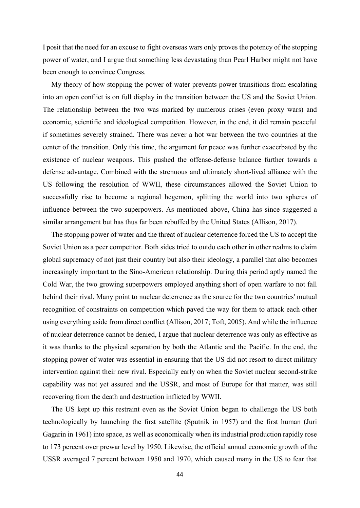I posit that the need for an excuse to fight overseas wars only proves the potency of the stopping power of water, and I argue that something less devastating than Pearl Harbor might not have been enough to convince Congress.

My theory of how stopping the power of water prevents power transitions from escalating into an open conflict is on full display in the transition between the US and the Soviet Union. The relationship between the two was marked by numerous crises (even proxy wars) and economic, scientific and ideological competition. However, in the end, it did remain peaceful if sometimes severely strained. There was never a hot war between the two countries at the center of the transition. Only this time, the argument for peace was further exacerbated by the existence of nuclear weapons. This pushed the offense-defense balance further towards a defense advantage. Combined with the strenuous and ultimately short-lived alliance with the US following the resolution of WWII, these circumstances allowed the Soviet Union to successfully rise to become a regional hegemon, splitting the world into two spheres of influence between the two superpowers. As mentioned above, China has since suggested a similar arrangement but has thus far been rebuffed by the United States (Allison, 2017).

The stopping power of water and the threat of nuclear deterrence forced the US to accept the Soviet Union as a peer competitor. Both sides tried to outdo each other in other realms to claim global supremacy of not just their country but also their ideology, a parallel that also becomes increasingly important to the Sino-American relationship. During this period aptly named the Cold War, the two growing superpowers employed anything short of open warfare to not fall behind their rival. Many point to nuclear deterrence as the source for the two countries' mutual recognition of constraints on competition which paved the way for them to attack each other using everything aside from direct conflict (Allison, 2017; Toft, 2005). And while the influence of nuclear deterrence cannot be denied, I argue that nuclear deterrence was only as effective as it was thanks to the physical separation by both the Atlantic and the Pacific. In the end, the stopping power of water was essential in ensuring that the US did not resort to direct military intervention against their new rival. Especially early on when the Soviet nuclear second-strike capability was not yet assured and the USSR, and most of Europe for that matter, was still recovering from the death and destruction inflicted by WWII.

The US kept up this restraint even as the Soviet Union began to challenge the US both technologically by launching the first satellite (Sputnik in 1957) and the first human (Juri Gagarin in 1961) into space, as well as economically when its industrial production rapidly rose to 173 percent over prewar level by 1950. Likewise, the official annual economic growth of the USSR averaged 7 percent between 1950 and 1970, which caused many in the US to fear that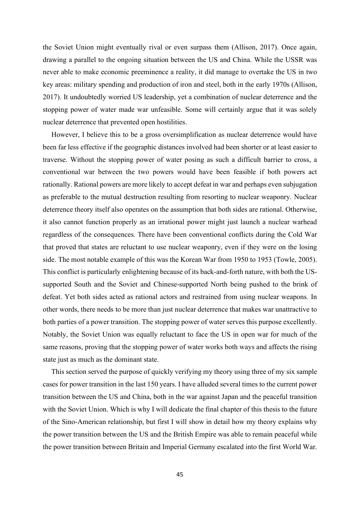the Soviet Union might eventually rival or even surpass them (Allison, 2017). Once again, drawing a parallel to the ongoing situation between the US and China. While the USSR was never able to make economic preeminence a reality, it did manage to overtake the US in two key areas: military spending and production of iron and steel, both in the early 1970s (Allison, 2017). It undoubtedly worried US leadership, yet a combination of nuclear deterrence and the stopping power of water made war unfeasible. Some will certainly argue that it was solely nuclear deterrence that prevented open hostilities.

However, I believe this to be a gross oversimplification as nuclear deterrence would have been far less effective if the geographic distances involved had been shorter or at least easier to traverse. Without the stopping power of water posing as such a difficult barrier to cross, a conventional war between the two powers would have been feasible if both powers act rationally. Rational powers are more likely to accept defeat in war and perhaps even subjugation as preferable to the mutual destruction resulting from resorting to nuclear weaponry. Nuclear deterrence theory itself also operates on the assumption that both sides are rational. Otherwise, it also cannot function properly as an irrational power might just launch a nuclear warhead regardless of the consequences. There have been conventional conflicts during the Cold War that proved that states are reluctant to use nuclear weaponry, even if they were on the losing side. The most notable example of this was the Korean War from 1950 to 1953 (Towle, 2005). This conflict is particularly enlightening because of its back-and-forth nature, with both the USsupported South and the Soviet and Chinese-supported North being pushed to the brink of defeat. Yet both sides acted as rational actors and restrained from using nuclear weapons. In other words, there needs to be more than just nuclear deterrence that makes war unattractive to both parties of a power transition. The stopping power of water serves this purpose excellently. Notably, the Soviet Union was equally reluctant to face the US in open war for much of the same reasons, proving that the stopping power of water works both ways and affects the rising state just as much as the dominant state.

This section served the purpose of quickly verifying my theory using three of my six sample cases for power transition in the last 150 years. I have alluded several times to the current power transition between the US and China, both in the war against Japan and the peaceful transition with the Soviet Union. Which is why I will dedicate the final chapter of this thesis to the future of the Sino-American relationship, but first I will show in detail how my theory explains why the power transition between the US and the British Empire was able to remain peaceful while the power transition between Britain and Imperial Germany escalated into the first World War.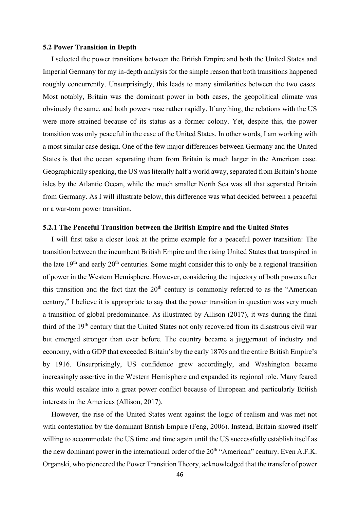#### 5.2 Power Transition in Depth

I selected the power transitions between the British Empire and both the United States and Imperial Germany for my in-depth analysis for the simple reason that both transitions happened roughly concurrently. Unsurprisingly, this leads to many similarities between the two cases. Most notably, Britain was the dominant power in both cases, the geopolitical climate was obviously the same, and both powers rose rather rapidly. If anything, the relations with the US were more strained because of its status as a former colony. Yet, despite this, the power transition was only peaceful in the case of the United States. In other words, I am working with a most similar case design. One of the few major differences between Germany and the United States is that the ocean separating them from Britain is much larger in the American case. Geographically speaking, the US was literally half a world away, separated from Britain's home isles by the Atlantic Ocean, while the much smaller North Sea was all that separated Britain from Germany. As I will illustrate below, this difference was what decided between a peaceful or a war-torn power transition.

## 5.2.1 The Peaceful Transition between the British Empire and the United States

I will first take a closer look at the prime example for a peaceful power transition: The transition between the incumbent British Empire and the rising United States that transpired in the late  $19<sup>th</sup>$  and early  $20<sup>th</sup>$  centuries. Some might consider this to only be a regional transition of power in the Western Hemisphere. However, considering the trajectory of both powers after this transition and the fact that the  $20<sup>th</sup>$  century is commonly referred to as the "American century," I believe it is appropriate to say that the power transition in question was very much a transition of global predominance. As illustrated by Allison (2017), it was during the final third of the 19<sup>th</sup> century that the United States not only recovered from its disastrous civil war but emerged stronger than ever before. The country became a juggernaut of industry and economy, with a GDP that exceeded Britain's by the early 1870s and the entire British Empire's by 1916. Unsurprisingly, US confidence grew accordingly, and Washington became increasingly assertive in the Western Hemisphere and expanded its regional role. Many feared this would escalate into a great power conflict because of European and particularly British interests in the Americas (Allison, 2017).

However, the rise of the United States went against the logic of realism and was met not with contestation by the dominant British Empire (Feng, 2006). Instead, Britain showed itself willing to accommodate the US time and time again until the US successfully establish itself as the new dominant power in the international order of the  $20<sup>th</sup>$  "American" century. Even A.F.K. Organski, who pioneered the Power Transition Theory, acknowledged that the transfer of power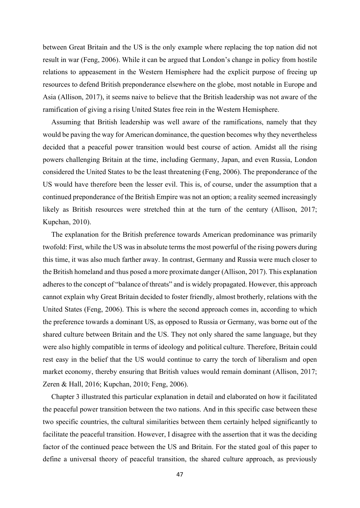between Great Britain and the US is the only example where replacing the top nation did not result in war (Feng, 2006). While it can be argued that London's change in policy from hostile relations to appeasement in the Western Hemisphere had the explicit purpose of freeing up resources to defend British preponderance elsewhere on the globe, most notable in Europe and Asia (Allison, 2017), it seems naive to believe that the British leadership was not aware of the ramification of giving a rising United States free rein in the Western Hemisphere.

Assuming that British leadership was well aware of the ramifications, namely that they would be paving the way for American dominance, the question becomes why they nevertheless decided that a peaceful power transition would best course of action. Amidst all the rising powers challenging Britain at the time, including Germany, Japan, and even Russia, London considered the United States to be the least threatening (Feng, 2006). The preponderance of the US would have therefore been the lesser evil. This is, of course, under the assumption that a continued preponderance of the British Empire was not an option; a reality seemed increasingly likely as British resources were stretched thin at the turn of the century (Allison, 2017; Kupchan, 2010).

The explanation for the British preference towards American predominance was primarily twofold: First, while the US was in absolute terms the most powerful of the rising powers during this time, it was also much farther away. In contrast, Germany and Russia were much closer to the British homeland and thus posed a more proximate danger (Allison, 2017). This explanation adheres to the concept of "balance of threats" and is widely propagated. However, this approach cannot explain why Great Britain decided to foster friendly, almost brotherly, relations with the United States (Feng, 2006). This is where the second approach comes in, according to which the preference towards a dominant US, as opposed to Russia or Germany, was borne out of the shared culture between Britain and the US. They not only shared the same language, but they were also highly compatible in terms of ideology and political culture. Therefore, Britain could rest easy in the belief that the US would continue to carry the torch of liberalism and open market economy, thereby ensuring that British values would remain dominant (Allison, 2017; Zeren & Hall, 2016; Kupchan, 2010; Feng, 2006).

Chapter 3 illustrated this particular explanation in detail and elaborated on how it facilitated the peaceful power transition between the two nations. And in this specific case between these two specific countries, the cultural similarities between them certainly helped significantly to facilitate the peaceful transition. However, I disagree with the assertion that it was the deciding factor of the continued peace between the US and Britain. For the stated goal of this paper to define a universal theory of peaceful transition, the shared culture approach, as previously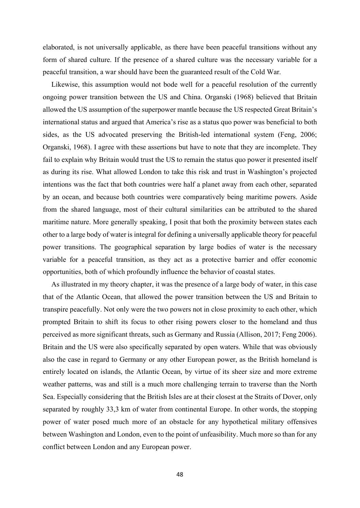elaborated, is not universally applicable, as there have been peaceful transitions without any form of shared culture. If the presence of a shared culture was the necessary variable for a peaceful transition, a war should have been the guaranteed result of the Cold War.

Likewise, this assumption would not bode well for a peaceful resolution of the currently ongoing power transition between the US and China. Organski (1968) believed that Britain allowed the US assumption of the superpower mantle because the US respected Great Britain's international status and argued that America's rise as a status quo power was beneficial to both sides, as the US advocated preserving the British-led international system (Feng, 2006; Organski, 1968). I agree with these assertions but have to note that they are incomplete. They fail to explain why Britain would trust the US to remain the status quo power it presented itself as during its rise. What allowed London to take this risk and trust in Washington's projected intentions was the fact that both countries were half a planet away from each other, separated by an ocean, and because both countries were comparatively being maritime powers. Aside from the shared language, most of their cultural similarities can be attributed to the shared maritime nature. More generally speaking, I posit that both the proximity between states each other to a large body of water is integral for defining a universally applicable theory for peaceful power transitions. The geographical separation by large bodies of water is the necessary variable for a peaceful transition, as they act as a protective barrier and offer economic opportunities, both of which profoundly influence the behavior of coastal states.

As illustrated in my theory chapter, it was the presence of a large body of water, in this case that of the Atlantic Ocean, that allowed the power transition between the US and Britain to transpire peacefully. Not only were the two powers not in close proximity to each other, which prompted Britain to shift its focus to other rising powers closer to the homeland and thus perceived as more significant threats, such as Germany and Russia (Allison, 2017; Feng 2006). Britain and the US were also specifically separated by open waters. While that was obviously also the case in regard to Germany or any other European power, as the British homeland is entirely located on islands, the Atlantic Ocean, by virtue of its sheer size and more extreme weather patterns, was and still is a much more challenging terrain to traverse than the North Sea. Especially considering that the British Isles are at their closest at the Straits of Dover, only separated by roughly 33,3 km of water from continental Europe. In other words, the stopping power of water posed much more of an obstacle for any hypothetical military offensives between Washington and London, even to the point of unfeasibility. Much more so than for any conflict between London and any European power.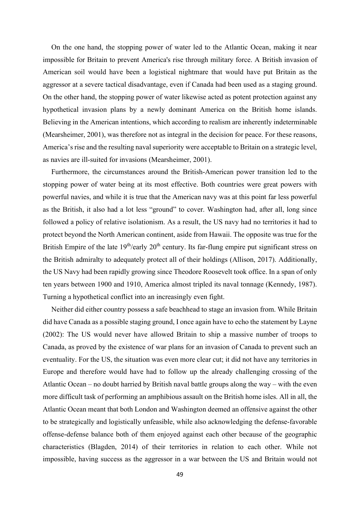On the one hand, the stopping power of water led to the Atlantic Ocean, making it near impossible for Britain to prevent America's rise through military force. A British invasion of American soil would have been a logistical nightmare that would have put Britain as the aggressor at a severe tactical disadvantage, even if Canada had been used as a staging ground. On the other hand, the stopping power of water likewise acted as potent protection against any hypothetical invasion plans by a newly dominant America on the British home islands. Believing in the American intentions, which according to realism are inherently indeterminable (Mearsheimer, 2001), was therefore not as integral in the decision for peace. For these reasons, America's rise and the resulting naval superiority were acceptable to Britain on a strategic level, as navies are ill-suited for invasions (Mearsheimer, 2001).

Furthermore, the circumstances around the British-American power transition led to the stopping power of water being at its most effective. Both countries were great powers with powerful navies, and while it is true that the American navy was at this point far less powerful as the British, it also had a lot less "ground" to cover. Washington had, after all, long since followed a policy of relative isolationism. As a result, the US navy had no territories it had to protect beyond the North American continent, aside from Hawaii. The opposite was true for the British Empire of the late  $19<sup>th</sup>/early 20<sup>th</sup>$  century. Its far-flung empire put significant stress on the British admiralty to adequately protect all of their holdings (Allison, 2017). Additionally, the US Navy had been rapidly growing since Theodore Roosevelt took office. In a span of only ten years between 1900 and 1910, America almost tripled its naval tonnage (Kennedy, 1987). Turning a hypothetical conflict into an increasingly even fight.

Neither did either country possess a safe beachhead to stage an invasion from. While Britain did have Canada as a possible staging ground, I once again have to echo the statement by Layne (2002): The US would never have allowed Britain to ship a massive number of troops to Canada, as proved by the existence of war plans for an invasion of Canada to prevent such an eventuality. For the US, the situation was even more clear cut; it did not have any territories in Europe and therefore would have had to follow up the already challenging crossing of the Atlantic Ocean – no doubt harried by British naval battle groups along the way – with the even more difficult task of performing an amphibious assault on the British home isles. All in all, the Atlantic Ocean meant that both London and Washington deemed an offensive against the other to be strategically and logistically unfeasible, while also acknowledging the defense-favorable offense-defense balance both of them enjoyed against each other because of the geographic characteristics (Blagden, 2014) of their territories in relation to each other. While not impossible, having success as the aggressor in a war between the US and Britain would not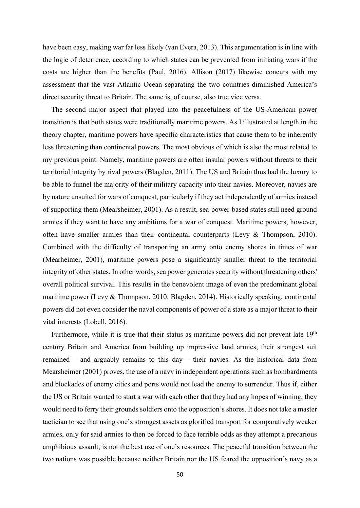have been easy, making war far less likely (van Evera, 2013). This argumentation is in line with the logic of deterrence, according to which states can be prevented from initiating wars if the costs are higher than the benefits (Paul, 2016). Allison (2017) likewise concurs with my assessment that the vast Atlantic Ocean separating the two countries diminished America's direct security threat to Britain. The same is, of course, also true vice versa.

The second major aspect that played into the peacefulness of the US-American power transition is that both states were traditionally maritime powers. As I illustrated at length in the theory chapter, maritime powers have specific characteristics that cause them to be inherently less threatening than continental powers. The most obvious of which is also the most related to my previous point. Namely, maritime powers are often insular powers without threats to their territorial integrity by rival powers (Blagden, 2011). The US and Britain thus had the luxury to be able to funnel the majority of their military capacity into their navies. Moreover, navies are by nature unsuited for wars of conquest, particularly if they act independently of armies instead of supporting them (Mearsheimer, 2001). As a result, sea-power-based states still need ground armies if they want to have any ambitions for a war of conquest. Maritime powers, however, often have smaller armies than their continental counterparts (Levy & Thompson, 2010). Combined with the difficulty of transporting an army onto enemy shores in times of war (Mearheimer, 2001), maritime powers pose a significantly smaller threat to the territorial integrity of other states. In other words, sea power generates security without threatening others' overall political survival. This results in the benevolent image of even the predominant global maritime power (Levy & Thompson, 2010; Blagden, 2014). Historically speaking, continental powers did not even consider the naval components of power of a state as a major threat to their vital interests (Lobell, 2016).

Furthermore, while it is true that their status as maritime powers did not prevent late  $19<sup>th</sup>$ century Britain and America from building up impressive land armies, their strongest suit remained – and arguably remains to this day – their navies. As the historical data from Mearsheimer (2001) proves, the use of a navy in independent operations such as bombardments and blockades of enemy cities and ports would not lead the enemy to surrender. Thus if, either the US or Britain wanted to start a war with each other that they had any hopes of winning, they would need to ferry their grounds soldiers onto the opposition's shores. It does not take a master tactician to see that using one's strongest assets as glorified transport for comparatively weaker armies, only for said armies to then be forced to face terrible odds as they attempt a precarious amphibious assault, is not the best use of one's resources. The peaceful transition between the two nations was possible because neither Britain nor the US feared the opposition's navy as a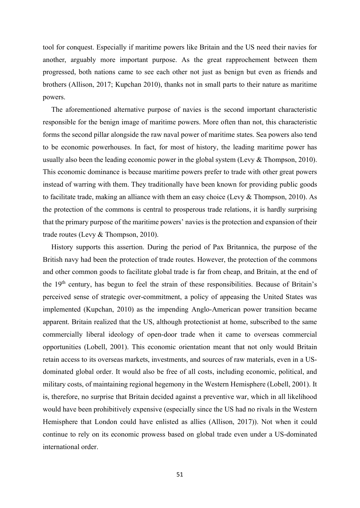tool for conquest. Especially if maritime powers like Britain and the US need their navies for another, arguably more important purpose. As the great rapprochement between them progressed, both nations came to see each other not just as benign but even as friends and brothers (Allison, 2017; Kupchan 2010), thanks not in small parts to their nature as maritime powers.

The aforementioned alternative purpose of navies is the second important characteristic responsible for the benign image of maritime powers. More often than not, this characteristic forms the second pillar alongside the raw naval power of maritime states. Sea powers also tend to be economic powerhouses. In fact, for most of history, the leading maritime power has usually also been the leading economic power in the global system (Levy & Thompson, 2010). This economic dominance is because maritime powers prefer to trade with other great powers instead of warring with them. They traditionally have been known for providing public goods to facilitate trade, making an alliance with them an easy choice (Levy & Thompson, 2010). As the protection of the commons is central to prosperous trade relations, it is hardly surprising that the primary purpose of the maritime powers' navies is the protection and expansion of their trade routes (Levy & Thompson, 2010).

History supports this assertion. During the period of Pax Britannica, the purpose of the British navy had been the protection of trade routes. However, the protection of the commons and other common goods to facilitate global trade is far from cheap, and Britain, at the end of the 19<sup>th</sup> century, has begun to feel the strain of these responsibilities. Because of Britain's perceived sense of strategic over-commitment, a policy of appeasing the United States was implemented (Kupchan, 2010) as the impending Anglo-American power transition became apparent. Britain realized that the US, although protectionist at home, subscribed to the same commercially liberal ideology of open-door trade when it came to overseas commercial opportunities (Lobell, 2001). This economic orientation meant that not only would Britain retain access to its overseas markets, investments, and sources of raw materials, even in a USdominated global order. It would also be free of all costs, including economic, political, and military costs, of maintaining regional hegemony in the Western Hemisphere (Lobell, 2001). It is, therefore, no surprise that Britain decided against a preventive war, which in all likelihood would have been prohibitively expensive (especially since the US had no rivals in the Western Hemisphere that London could have enlisted as allies (Allison, 2017)). Not when it could continue to rely on its economic prowess based on global trade even under a US-dominated international order.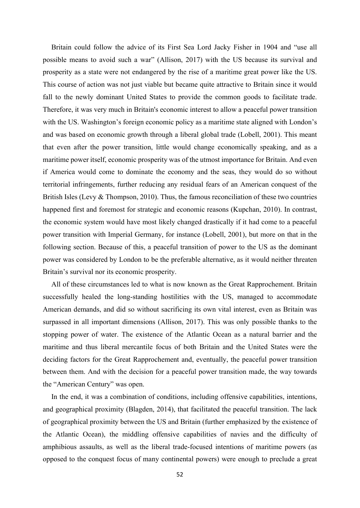Britain could follow the advice of its First Sea Lord Jacky Fisher in 1904 and "use all possible means to avoid such a war" (Allison, 2017) with the US because its survival and prosperity as a state were not endangered by the rise of a maritime great power like the US. This course of action was not just viable but became quite attractive to Britain since it would fall to the newly dominant United States to provide the common goods to facilitate trade. Therefore, it was very much in Britain's economic interest to allow a peaceful power transition with the US. Washington's foreign economic policy as a maritime state aligned with London's and was based on economic growth through a liberal global trade (Lobell, 2001). This meant that even after the power transition, little would change economically speaking, and as a maritime power itself, economic prosperity was of the utmost importance for Britain. And even if America would come to dominate the economy and the seas, they would do so without territorial infringements, further reducing any residual fears of an American conquest of the British Isles (Levy & Thompson, 2010). Thus, the famous reconciliation of these two countries happened first and foremost for strategic and economic reasons (Kupchan, 2010). In contrast, the economic system would have most likely changed drastically if it had come to a peaceful power transition with Imperial Germany, for instance (Lobell, 2001), but more on that in the following section. Because of this, a peaceful transition of power to the US as the dominant power was considered by London to be the preferable alternative, as it would neither threaten Britain's survival nor its economic prosperity.

All of these circumstances led to what is now known as the Great Rapprochement. Britain successfully healed the long-standing hostilities with the US, managed to accommodate American demands, and did so without sacrificing its own vital interest, even as Britain was surpassed in all important dimensions (Allison, 2017). This was only possible thanks to the stopping power of water. The existence of the Atlantic Ocean as a natural barrier and the maritime and thus liberal mercantile focus of both Britain and the United States were the deciding factors for the Great Rapprochement and, eventually, the peaceful power transition between them. And with the decision for a peaceful power transition made, the way towards the "American Century" was open.

In the end, it was a combination of conditions, including offensive capabilities, intentions, and geographical proximity (Blagden, 2014), that facilitated the peaceful transition. The lack of geographical proximity between the US and Britain (further emphasized by the existence of the Atlantic Ocean), the middling offensive capabilities of navies and the difficulty of amphibious assaults, as well as the liberal trade-focused intentions of maritime powers (as opposed to the conquest focus of many continental powers) were enough to preclude a great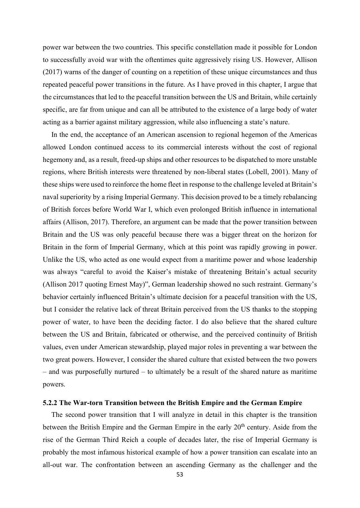power war between the two countries. This specific constellation made it possible for London to successfully avoid war with the oftentimes quite aggressively rising US. However, Allison (2017) warns of the danger of counting on a repetition of these unique circumstances and thus repeated peaceful power transitions in the future. As I have proved in this chapter, I argue that the circumstances that led to the peaceful transition between the US and Britain, while certainly specific, are far from unique and can all be attributed to the existence of a large body of water acting as a barrier against military aggression, while also influencing a state's nature.

In the end, the acceptance of an American ascension to regional hegemon of the Americas allowed London continued access to its commercial interests without the cost of regional hegemony and, as a result, freed-up ships and other resources to be dispatched to more unstable regions, where British interests were threatened by non-liberal states (Lobell, 2001). Many of these ships were used to reinforce the home fleet in response to the challenge leveled at Britain's naval superiority by a rising Imperial Germany. This decision proved to be a timely rebalancing of British forces before World War I, which even prolonged British influence in international affairs (Allison, 2017). Therefore, an argument can be made that the power transition between Britain and the US was only peaceful because there was a bigger threat on the horizon for Britain in the form of Imperial Germany, which at this point was rapidly growing in power. Unlike the US, who acted as one would expect from a maritime power and whose leadership was always "careful to avoid the Kaiser's mistake of threatening Britain's actual security (Allison 2017 quoting Ernest May)", German leadership showed no such restraint. Germany's behavior certainly influenced Britain's ultimate decision for a peaceful transition with the US, but I consider the relative lack of threat Britain perceived from the US thanks to the stopping power of water, to have been the deciding factor. I do also believe that the shared culture between the US and Britain, fabricated or otherwise, and the perceived continuity of British values, even under American stewardship, played major roles in preventing a war between the two great powers. However, I consider the shared culture that existed between the two powers – and was purposefully nurtured – to ultimately be a result of the shared nature as maritime powers.

### 5.2.2 The War-torn Transition between the British Empire and the German Empire

The second power transition that I will analyze in detail in this chapter is the transition between the British Empire and the German Empire in the early 20<sup>th</sup> century. Aside from the rise of the German Third Reich a couple of decades later, the rise of Imperial Germany is probably the most infamous historical example of how a power transition can escalate into an all-out war. The confrontation between an ascending Germany as the challenger and the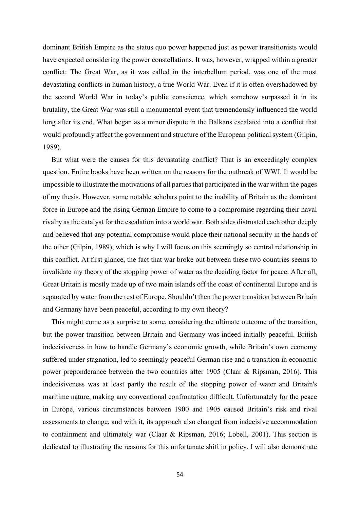dominant British Empire as the status quo power happened just as power transitionists would have expected considering the power constellations. It was, however, wrapped within a greater conflict: The Great War, as it was called in the interbellum period, was one of the most devastating conflicts in human history, a true World War. Even if it is often overshadowed by the second World War in today's public conscience, which somehow surpassed it in its brutality, the Great War was still a monumental event that tremendously influenced the world long after its end. What began as a minor dispute in the Balkans escalated into a conflict that would profoundly affect the government and structure of the European political system (Gilpin, 1989).

But what were the causes for this devastating conflict? That is an exceedingly complex question. Entire books have been written on the reasons for the outbreak of WWI. It would be impossible to illustrate the motivations of all parties that participated in the war within the pages of my thesis. However, some notable scholars point to the inability of Britain as the dominant force in Europe and the rising German Empire to come to a compromise regarding their naval rivalry as the catalyst for the escalation into a world war. Both sides distrusted each other deeply and believed that any potential compromise would place their national security in the hands of the other (Gilpin, 1989), which is why I will focus on this seemingly so central relationship in this conflict. At first glance, the fact that war broke out between these two countries seems to invalidate my theory of the stopping power of water as the deciding factor for peace. After all, Great Britain is mostly made up of two main islands off the coast of continental Europe and is separated by water from the rest of Europe. Shouldn't then the power transition between Britain and Germany have been peaceful, according to my own theory?

This might come as a surprise to some, considering the ultimate outcome of the transition, but the power transition between Britain and Germany was indeed initially peaceful. British indecisiveness in how to handle Germany's economic growth, while Britain's own economy suffered under stagnation, led to seemingly peaceful German rise and a transition in economic power preponderance between the two countries after 1905 (Claar & Ripsman, 2016). This indecisiveness was at least partly the result of the stopping power of water and Britain's maritime nature, making any conventional confrontation difficult. Unfortunately for the peace in Europe, various circumstances between 1900 and 1905 caused Britain's risk and rival assessments to change, and with it, its approach also changed from indecisive accommodation to containment and ultimately war (Claar & Ripsman, 2016; Lobell, 2001). This section is dedicated to illustrating the reasons for this unfortunate shift in policy. I will also demonstrate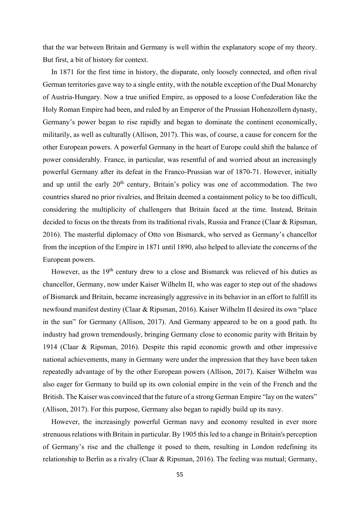that the war between Britain and Germany is well within the explanatory scope of my theory. But first, a bit of history for context.

In 1871 for the first time in history, the disparate, only loosely connected, and often rival German territories gave way to a single entity, with the notable exception of the Dual Monarchy of Austria-Hungary. Now a true unified Empire, as opposed to a loose Confederation like the Holy Roman Empire had been, and ruled by an Emperor of the Prussian Hohenzollern dynasty, Germany's power began to rise rapidly and began to dominate the continent economically, militarily, as well as culturally (Allison, 2017). This was, of course, a cause for concern for the other European powers. A powerful Germany in the heart of Europe could shift the balance of power considerably. France, in particular, was resentful of and worried about an increasingly powerful Germany after its defeat in the Franco-Prussian war of 1870-71. However, initially and up until the early  $20<sup>th</sup>$  century, Britain's policy was one of accommodation. The two countries shared no prior rivalries, and Britain deemed a containment policy to be too difficult, considering the multiplicity of challengers that Britain faced at the time. Instead, Britain decided to focus on the threats from its traditional rivals, Russia and France (Claar & Ripsman, 2016). The masterful diplomacy of Otto von Bismarck, who served as Germany's chancellor from the inception of the Empire in 1871 until 1890, also helped to alleviate the concerns of the European powers.

However, as the 19<sup>th</sup> century drew to a close and Bismarck was relieved of his duties as chancellor, Germany, now under Kaiser Wilhelm II, who was eager to step out of the shadows of Bismarck and Britain, became increasingly aggressive in its behavior in an effort to fulfill its newfound manifest destiny (Claar & Ripsman, 2016). Kaiser Wilhelm II desired its own "place in the sun" for Germany (Allison, 2017). And Germany appeared to be on a good path. Its industry had grown tremendously, bringing Germany close to economic parity with Britain by 1914 (Claar & Ripsman, 2016). Despite this rapid economic growth and other impressive national achievements, many in Germany were under the impression that they have been taken repeatedly advantage of by the other European powers (Allison, 2017). Kaiser Wilhelm was also eager for Germany to build up its own colonial empire in the vein of the French and the British. The Kaiser was convinced that the future of a strong German Empire "lay on the waters" (Allison, 2017). For this purpose, Germany also began to rapidly build up its navy.

However, the increasingly powerful German navy and economy resulted in ever more strenuous relations with Britain in particular. By 1905 this led to a change in Britain's perception of Germany's rise and the challenge it posed to them, resulting in London redefining its relationship to Berlin as a rivalry (Claar & Ripsman, 2016). The feeling was mutual; Germany,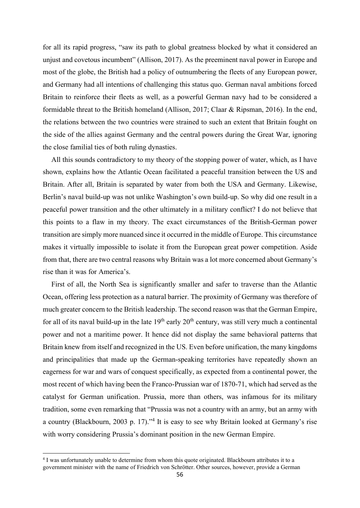for all its rapid progress, "saw its path to global greatness blocked by what it considered an unjust and covetous incumbent" (Allison, 2017). As the preeminent naval power in Europe and most of the globe, the British had a policy of outnumbering the fleets of any European power, and Germany had all intentions of challenging this status quo. German naval ambitions forced Britain to reinforce their fleets as well, as a powerful German navy had to be considered a formidable threat to the British homeland (Allison, 2017; Claar & Ripsman, 2016). In the end, the relations between the two countries were strained to such an extent that Britain fought on the side of the allies against Germany and the central powers during the Great War, ignoring the close familial ties of both ruling dynasties.

All this sounds contradictory to my theory of the stopping power of water, which, as I have shown, explains how the Atlantic Ocean facilitated a peaceful transition between the US and Britain. After all, Britain is separated by water from both the USA and Germany. Likewise, Berlin's naval build-up was not unlike Washington's own build-up. So why did one result in a peaceful power transition and the other ultimately in a military conflict? I do not believe that this points to a flaw in my theory. The exact circumstances of the British-German power transition are simply more nuanced since it occurred in the middle of Europe. This circumstance makes it virtually impossible to isolate it from the European great power competition. Aside from that, there are two central reasons why Britain was a lot more concerned about Germany's rise than it was for America's.

First of all, the North Sea is significantly smaller and safer to traverse than the Atlantic Ocean, offering less protection as a natural barrier. The proximity of Germany was therefore of much greater concern to the British leadership. The second reason was that the German Empire, for all of its naval build-up in the late  $19<sup>th</sup>$  early  $20<sup>th</sup>$  century, was still very much a continental power and not a maritime power. It hence did not display the same behavioral patterns that Britain knew from itself and recognized in the US. Even before unification, the many kingdoms and principalities that made up the German-speaking territories have repeatedly shown an eagerness for war and wars of conquest specifically, as expected from a continental power, the most recent of which having been the Franco-Prussian war of 1870-71, which had served as the catalyst for German unification. Prussia, more than others, was infamous for its military tradition, some even remarking that "Prussia was not a country with an army, but an army with a country (Blackbourn, 2003 p. 17)."<sup>4</sup> It is easy to see why Britain looked at Germany's rise with worry considering Prussia's dominant position in the new German Empire.

<sup>&</sup>lt;sup>4</sup> I was unfortunately unable to determine from whom this quote originated. Blackbourn attributes it to a government minister with the name of Friedrich von Schrötter. Other sources, however, provide a German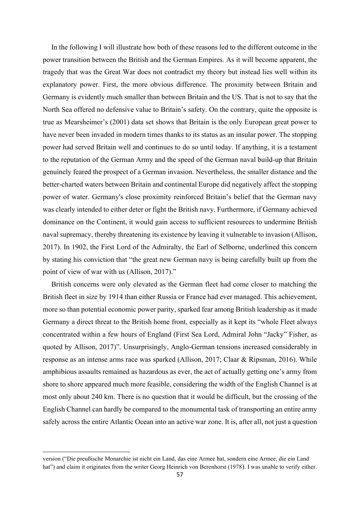In the following I will illustrate how both of these reasons led to the different outcome in the power transition between the British and the German Empires. As it will become apparent, the tragedy that was the Great War does not contradict my theory but instead lies well within its explanatory power. First, the more obvious difference. The proximity between Britain and Germany is evidently much smaller than between Britain and the US. That is not to say that the North Sea offered no defensive value to Britain's safety. On the contrary, quite the opposite is true as Mearsheimer's (2001) data set shows that Britain is the only European great power to have never been invaded in modern times thanks to its status as an insular power. The stopping power had served Britain well and continues to do so until today. If anything, it is a testament to the reputation of the German Army and the speed of the German naval build-up that Britain genuinely feared the prospect of a German invasion. Nevertheless, the smaller distance and the better-charted waters between Britain and continental Europe did negatively affect the stopping power of water. Germany's close proximity reinforced Britain's belief that the German navy was clearly intended to either deter or fight the British navy. Furthermore, if Germany achieved dominance on the Continent, it would gain access to sufficient resources to undermine British naval supremacy, thereby threatening its existence by leaving it vulnerable to invasion (Allison, 2017). In 1902, the First Lord of the Admiralty, the Earl of Selborne, underlined this concern by stating his conviction that "the great new German navy is being carefully built up from the point of view of war with us (Allison, 2017)."

British concerns were only elevated as the German fleet had come closer to matching the British fleet in size by 1914 than either Russia or France had ever managed. This achievement, more so than potential economic power parity, sparked fear among British leadership as it made Germany a direct threat to the British home front, especially as it kept its "whole Fleet always concentrated within a few hours of England (First Sea Lord, Admiral John "Jacky" Fisher, as quoted by Allison, 2017)". Unsurprisingly, Anglo-German tensions increased considerably in response as an intense arms race was sparked (Allison, 2017; Claar & Ripsman, 2016). While amphibious assaults remained as hazardous as ever, the act of actually getting one's army from shore to shore appeared much more feasible, considering the width of the English Channel is at most only about 240 km. There is no question that it would be difficult, but the crossing of the English Channel can hardly be compared to the monumental task of transporting an entire army safely across the entire Atlantic Ocean into an active war zone. It is, after all, not just a question

version ("Die preußische Monarchie ist nicht ein Land, das eine Armee hat, sondern eine Armee, die ein Land hat") and claim it originates from the writer Georg Heinrich von Berenhorst (1978). I was unable to verify either.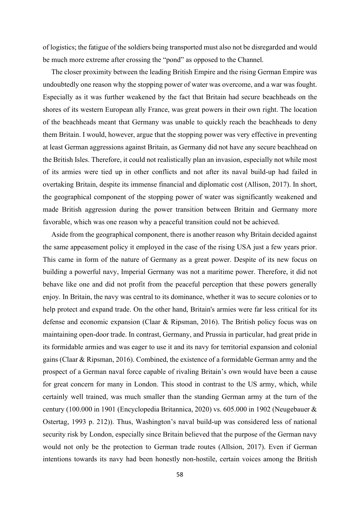of logistics; the fatigue of the soldiers being transported must also not be disregarded and would be much more extreme after crossing the "pond" as opposed to the Channel.

The closer proximity between the leading British Empire and the rising German Empire was undoubtedly one reason why the stopping power of water was overcome, and a war was fought. Especially as it was further weakened by the fact that Britain had secure beachheads on the shores of its western European ally France, was great powers in their own right. The location of the beachheads meant that Germany was unable to quickly reach the beachheads to deny them Britain. I would, however, argue that the stopping power was very effective in preventing at least German aggressions against Britain, as Germany did not have any secure beachhead on the British Isles. Therefore, it could not realistically plan an invasion, especially not while most of its armies were tied up in other conflicts and not after its naval build-up had failed in overtaking Britain, despite its immense financial and diplomatic cost (Allison, 2017). In short, the geographical component of the stopping power of water was significantly weakened and made British aggression during the power transition between Britain and Germany more favorable, which was one reason why a peaceful transition could not be achieved.

Aside from the geographical component, there is another reason why Britain decided against the same appeasement policy it employed in the case of the rising USA just a few years prior. This came in form of the nature of Germany as a great power. Despite of its new focus on building a powerful navy, Imperial Germany was not a maritime power. Therefore, it did not behave like one and did not profit from the peaceful perception that these powers generally enjoy. In Britain, the navy was central to its dominance, whether it was to secure colonies or to help protect and expand trade. On the other hand, Britain's armies were far less critical for its defense and economic expansion (Claar & Ripsman, 2016). The British policy focus was on maintaining open-door trade. In contrast, Germany, and Prussia in particular, had great pride in its formidable armies and was eager to use it and its navy for territorial expansion and colonial gains (Claar & Ripsman, 2016). Combined, the existence of a formidable German army and the prospect of a German naval force capable of rivaling Britain's own would have been a cause for great concern for many in London. This stood in contrast to the US army, which, while certainly well trained, was much smaller than the standing German army at the turn of the century (100.000 in 1901 (Encyclopedia Britannica, 2020) vs. 605.000 in 1902 (Neugebauer & Ostertag, 1993 p. 212)). Thus, Washington's naval build-up was considered less of national security risk by London, especially since Britain believed that the purpose of the German navy would not only be the protection to German trade routes (Allsion, 2017). Even if German intentions towards its navy had been honestly non-hostile, certain voices among the British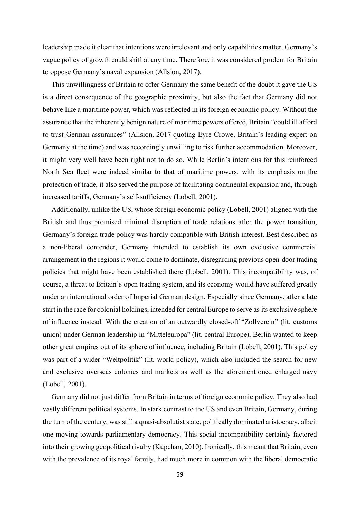leadership made it clear that intentions were irrelevant and only capabilities matter. Germany's vague policy of growth could shift at any time. Therefore, it was considered prudent for Britain to oppose Germany's naval expansion (Allsion, 2017).

This unwillingness of Britain to offer Germany the same benefit of the doubt it gave the US is a direct consequence of the geographic proximity, but also the fact that Germany did not behave like a maritime power, which was reflected in its foreign economic policy. Without the assurance that the inherently benign nature of maritime powers offered, Britain "could ill afford to trust German assurances" (Allsion, 2017 quoting Eyre Crowe, Britain's leading expert on Germany at the time) and was accordingly unwilling to risk further accommodation. Moreover, it might very well have been right not to do so. While Berlin's intentions for this reinforced North Sea fleet were indeed similar to that of maritime powers, with its emphasis on the protection of trade, it also served the purpose of facilitating continental expansion and, through increased tariffs, Germany's self-sufficiency (Lobell, 2001).

Additionally, unlike the US, whose foreign economic policy (Lobell, 2001) aligned with the British and thus promised minimal disruption of trade relations after the power transition, Germany's foreign trade policy was hardly compatible with British interest. Best described as a non-liberal contender, Germany intended to establish its own exclusive commercial arrangement in the regions it would come to dominate, disregarding previous open-door trading policies that might have been established there (Lobell, 2001). This incompatibility was, of course, a threat to Britain's open trading system, and its economy would have suffered greatly under an international order of Imperial German design. Especially since Germany, after a late start in the race for colonial holdings, intended for central Europe to serve as its exclusive sphere of influence instead. With the creation of an outwardly closed-off "Zollverein" (lit. customs union) under German leadership in "Mitteleuropa" (lit. central Europe), Berlin wanted to keep other great empires out of its sphere of influence, including Britain (Lobell, 2001). This policy was part of a wider "Weltpolitik" (lit. world policy), which also included the search for new and exclusive overseas colonies and markets as well as the aforementioned enlarged navy (Lobell, 2001).

Germany did not just differ from Britain in terms of foreign economic policy. They also had vastly different political systems. In stark contrast to the US and even Britain, Germany, during the turn of the century, was still a quasi-absolutist state, politically dominated aristocracy, albeit one moving towards parliamentary democracy. This social incompatibility certainly factored into their growing geopolitical rivalry (Kupchan, 2010). Ironically, this meant that Britain, even with the prevalence of its royal family, had much more in common with the liberal democratic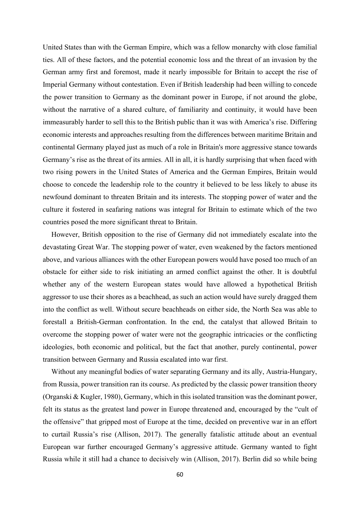United States than with the German Empire, which was a fellow monarchy with close familial ties. All of these factors, and the potential economic loss and the threat of an invasion by the German army first and foremost, made it nearly impossible for Britain to accept the rise of Imperial Germany without contestation. Even if British leadership had been willing to concede the power transition to Germany as the dominant power in Europe, if not around the globe, without the narrative of a shared culture, of familiarity and continuity, it would have been immeasurably harder to sell this to the British public than it was with America's rise. Differing economic interests and approaches resulting from the differences between maritime Britain and continental Germany played just as much of a role in Britain's more aggressive stance towards Germany's rise as the threat of its armies. All in all, it is hardly surprising that when faced with two rising powers in the United States of America and the German Empires, Britain would choose to concede the leadership role to the country it believed to be less likely to abuse its newfound dominant to threaten Britain and its interests. The stopping power of water and the culture it fostered in seafaring nations was integral for Britain to estimate which of the two countries posed the more significant threat to Britain.

However, British opposition to the rise of Germany did not immediately escalate into the devastating Great War. The stopping power of water, even weakened by the factors mentioned above, and various alliances with the other European powers would have posed too much of an obstacle for either side to risk initiating an armed conflict against the other. It is doubtful whether any of the western European states would have allowed a hypothetical British aggressor to use their shores as a beachhead, as such an action would have surely dragged them into the conflict as well. Without secure beachheads on either side, the North Sea was able to forestall a British-German confrontation. In the end, the catalyst that allowed Britain to overcome the stopping power of water were not the geographic intricacies or the conflicting ideologies, both economic and political, but the fact that another, purely continental, power transition between Germany and Russia escalated into war first.

Without any meaningful bodies of water separating Germany and its ally, Austria-Hungary, from Russia, power transition ran its course. As predicted by the classic power transition theory (Organski & Kugler, 1980), Germany, which in this isolated transition was the dominant power, felt its status as the greatest land power in Europe threatened and, encouraged by the "cult of the offensive" that gripped most of Europe at the time, decided on preventive war in an effort to curtail Russia's rise (Allison, 2017). The generally fatalistic attitude about an eventual European war further encouraged Germany's aggressive attitude. Germany wanted to fight Russia while it still had a chance to decisively win (Allison, 2017). Berlin did so while being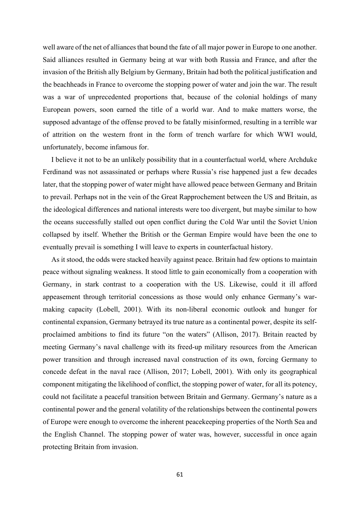well aware of the net of alliances that bound the fate of all major power in Europe to one another. Said alliances resulted in Germany being at war with both Russia and France, and after the invasion of the British ally Belgium by Germany, Britain had both the political justification and the beachheads in France to overcome the stopping power of water and join the war. The result was a war of unprecedented proportions that, because of the colonial holdings of many European powers, soon earned the title of a world war. And to make matters worse, the supposed advantage of the offense proved to be fatally misinformed, resulting in a terrible war of attrition on the western front in the form of trench warfare for which WWI would, unfortunately, become infamous for.

I believe it not to be an unlikely possibility that in a counterfactual world, where Archduke Ferdinand was not assassinated or perhaps where Russia's rise happened just a few decades later, that the stopping power of water might have allowed peace between Germany and Britain to prevail. Perhaps not in the vein of the Great Rapprochement between the US and Britain, as the ideological differences and national interests were too divergent, but maybe similar to how the oceans successfully stalled out open conflict during the Cold War until the Soviet Union collapsed by itself. Whether the British or the German Empire would have been the one to eventually prevail is something I will leave to experts in counterfactual history.

As it stood, the odds were stacked heavily against peace. Britain had few options to maintain peace without signaling weakness. It stood little to gain economically from a cooperation with Germany, in stark contrast to a cooperation with the US. Likewise, could it ill afford appeasement through territorial concessions as those would only enhance Germany's warmaking capacity (Lobell, 2001). With its non-liberal economic outlook and hunger for continental expansion, Germany betrayed its true nature as a continental power, despite its selfproclaimed ambitions to find its future "on the waters" (Allison, 2017). Britain reacted by meeting Germany's naval challenge with its freed-up military resources from the American power transition and through increased naval construction of its own, forcing Germany to concede defeat in the naval race (Allison, 2017; Lobell, 2001). With only its geographical component mitigating the likelihood of conflict, the stopping power of water, for all its potency, could not facilitate a peaceful transition between Britain and Germany. Germany's nature as a continental power and the general volatility of the relationships between the continental powers of Europe were enough to overcome the inherent peacekeeping properties of the North Sea and the English Channel. The stopping power of water was, however, successful in once again protecting Britain from invasion.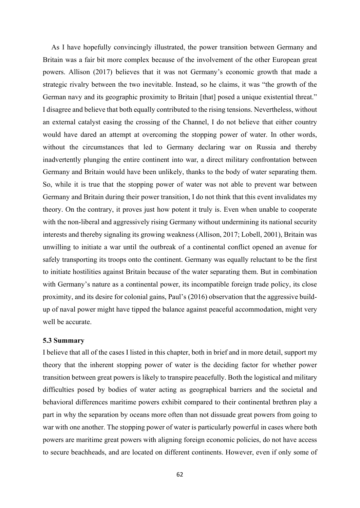As I have hopefully convincingly illustrated, the power transition between Germany and Britain was a fair bit more complex because of the involvement of the other European great powers. Allison (2017) believes that it was not Germany's economic growth that made a strategic rivalry between the two inevitable. Instead, so he claims, it was "the growth of the German navy and its geographic proximity to Britain [that] posed a unique existential threat." I disagree and believe that both equally contributed to the rising tensions. Nevertheless, without an external catalyst easing the crossing of the Channel, I do not believe that either country would have dared an attempt at overcoming the stopping power of water. In other words, without the circumstances that led to Germany declaring war on Russia and thereby inadvertently plunging the entire continent into war, a direct military confrontation between Germany and Britain would have been unlikely, thanks to the body of water separating them. So, while it is true that the stopping power of water was not able to prevent war between Germany and Britain during their power transition, I do not think that this event invalidates my theory. On the contrary, it proves just how potent it truly is. Even when unable to cooperate with the non-liberal and aggressively rising Germany without undermining its national security interests and thereby signaling its growing weakness (Allison, 2017; Lobell, 2001), Britain was unwilling to initiate a war until the outbreak of a continental conflict opened an avenue for safely transporting its troops onto the continent. Germany was equally reluctant to be the first to initiate hostilities against Britain because of the water separating them. But in combination with Germany's nature as a continental power, its incompatible foreign trade policy, its close proximity, and its desire for colonial gains, Paul's (2016) observation that the aggressive buildup of naval power might have tipped the balance against peaceful accommodation, might very well be accurate.

#### 5.3 Summary

I believe that all of the cases I listed in this chapter, both in brief and in more detail, support my theory that the inherent stopping power of water is the deciding factor for whether power transition between great powers is likely to transpire peacefully. Both the logistical and military difficulties posed by bodies of water acting as geographical barriers and the societal and behavioral differences maritime powers exhibit compared to their continental brethren play a part in why the separation by oceans more often than not dissuade great powers from going to war with one another. The stopping power of water is particularly powerful in cases where both powers are maritime great powers with aligning foreign economic policies, do not have access to secure beachheads, and are located on different continents. However, even if only some of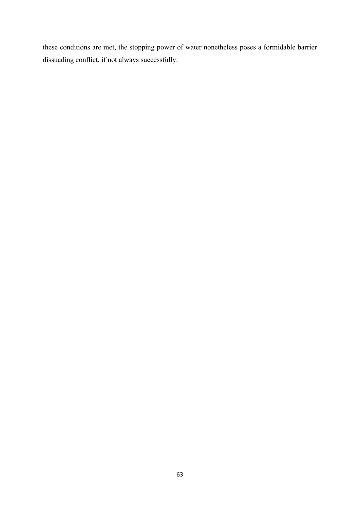these conditions are met, the stopping power of water nonetheless poses a formidable barrier dissuading conflict, if not always successfully.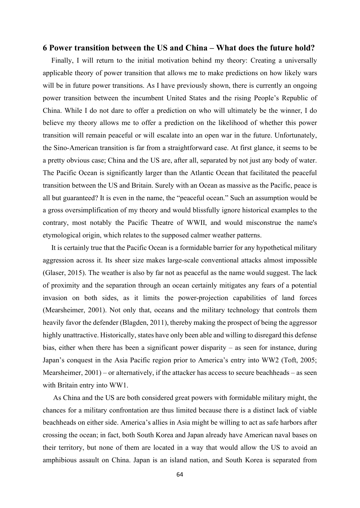# 6 Power transition between the US and China – What does the future hold?

Finally, I will return to the initial motivation behind my theory: Creating a universally applicable theory of power transition that allows me to make predictions on how likely wars will be in future power transitions. As I have previously shown, there is currently an ongoing power transition between the incumbent United States and the rising People's Republic of China. While I do not dare to offer a prediction on who will ultimately be the winner, I do believe my theory allows me to offer a prediction on the likelihood of whether this power transition will remain peaceful or will escalate into an open war in the future. Unfortunately, the Sino-American transition is far from a straightforward case. At first glance, it seems to be a pretty obvious case; China and the US are, after all, separated by not just any body of water. The Pacific Ocean is significantly larger than the Atlantic Ocean that facilitated the peaceful transition between the US and Britain. Surely with an Ocean as massive as the Pacific, peace is all but guaranteed? It is even in the name, the "peaceful ocean." Such an assumption would be a gross oversimplification of my theory and would blissfully ignore historical examples to the contrary, most notably the Pacific Theatre of WWII, and would misconstrue the name's etymological origin, which relates to the supposed calmer weather patterns.

It is certainly true that the Pacific Ocean is a formidable barrier for any hypothetical military aggression across it. Its sheer size makes large-scale conventional attacks almost impossible (Glaser, 2015). The weather is also by far not as peaceful as the name would suggest. The lack of proximity and the separation through an ocean certainly mitigates any fears of a potential invasion on both sides, as it limits the power-projection capabilities of land forces (Mearsheimer, 2001). Not only that, oceans and the military technology that controls them heavily favor the defender (Blagden, 2011), thereby making the prospect of being the aggressor highly unattractive. Historically, states have only been able and willing to disregard this defense bias, either when there has been a significant power disparity – as seen for instance, during Japan's conquest in the Asia Pacific region prior to America's entry into WW2 (Toft, 2005; Mearsheimer, 2001) – or alternatively, if the attacker has access to secure beachheads – as seen with Britain entry into WW1.

 As China and the US are both considered great powers with formidable military might, the chances for a military confrontation are thus limited because there is a distinct lack of viable beachheads on either side. America's allies in Asia might be willing to act as safe harbors after crossing the ocean; in fact, both South Korea and Japan already have American naval bases on their territory, but none of them are located in a way that would allow the US to avoid an amphibious assault on China. Japan is an island nation, and South Korea is separated from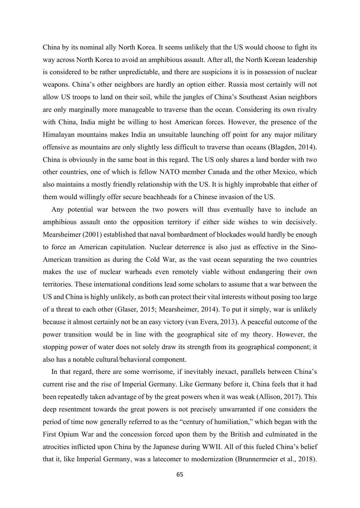China by its nominal ally North Korea. It seems unlikely that the US would choose to fight its way across North Korea to avoid an amphibious assault. After all, the North Korean leadership is considered to be rather unpredictable, and there are suspicions it is in possession of nuclear weapons. China's other neighbors are hardly an option either. Russia most certainly will not allow US troops to land on their soil, while the jungles of China's Southeast Asian neighbors are only marginally more manageable to traverse than the ocean. Considering its own rivalry with China, India might be willing to host American forces. However, the presence of the Himalayan mountains makes India an unsuitable launching off point for any major military offensive as mountains are only slightly less difficult to traverse than oceans (Blagden, 2014). China is obviously in the same boat in this regard. The US only shares a land border with two other countries, one of which is fellow NATO member Canada and the other Mexico, which also maintains a mostly friendly relationship with the US. It is highly improbable that either of them would willingly offer secure beachheads for a Chinese invasion of the US.

Any potential war between the two powers will thus eventually have to include an amphibious assault onto the opposition territory if either side wishes to win decisively. Mearsheimer (2001) established that naval bombardment of blockades would hardly be enough to force an American capitulation. Nuclear deterrence is also just as effective in the Sino-American transition as during the Cold War, as the vast ocean separating the two countries makes the use of nuclear warheads even remotely viable without endangering their own territories. These international conditions lead some scholars to assume that a war between the US and China is highly unlikely, as both can protect their vital interests without posing too large of a threat to each other (Glaser, 2015; Mearsheimer, 2014). To put it simply, war is unlikely because it almost certainly not be an easy victory (van Evera, 2013). A peaceful outcome of the power transition would be in line with the geographical site of my theory. However, the stopping power of water does not solely draw its strength from its geographical component; it also has a notable cultural/behavioral component.

In that regard, there are some worrisome, if inevitably inexact, parallels between China's current rise and the rise of Imperial Germany. Like Germany before it, China feels that it had been repeatedly taken advantage of by the great powers when it was weak (Allison, 2017). This deep resentment towards the great powers is not precisely unwarranted if one considers the period of time now generally referred to as the "century of humiliation," which began with the First Opium War and the concession forced upon them by the British and culminated in the atrocities inflicted upon China by the Japanese during WWII. All of this fueled China's belief that it, like Imperial Germany, was a latecomer to modernization (Brunnermeier et al., 2018).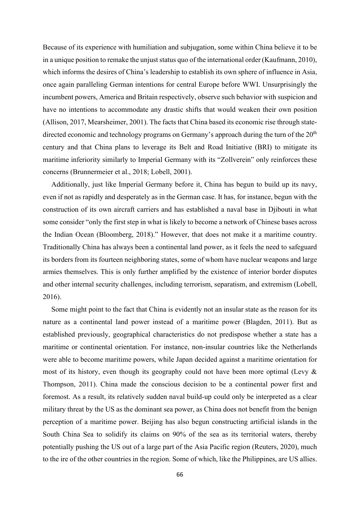Because of its experience with humiliation and subjugation, some within China believe it to be in a unique position to remake the unjust status quo of the international order (Kaufmann, 2010), which informs the desires of China's leadership to establish its own sphere of influence in Asia, once again paralleling German intentions for central Europe before WWI. Unsurprisingly the incumbent powers, America and Britain respectively, observe such behavior with suspicion and have no intentions to accommodate any drastic shifts that would weaken their own position (Allison, 2017, Mearsheimer, 2001). The facts that China based its economic rise through statedirected economic and technology programs on Germany's approach during the turn of the  $20<sup>th</sup>$ century and that China plans to leverage its Belt and Road Initiative (BRI) to mitigate its maritime inferiority similarly to Imperial Germany with its "Zollverein" only reinforces these concerns (Brunnermeier et al., 2018; Lobell, 2001).

Additionally, just like Imperial Germany before it, China has begun to build up its navy, even if not as rapidly and desperately as in the German case. It has, for instance, begun with the construction of its own aircraft carriers and has established a naval base in Djibouti in what some consider "only the first step in what is likely to become a network of Chinese bases across the Indian Ocean (Bloomberg, 2018)." However, that does not make it a maritime country. Traditionally China has always been a continental land power, as it feels the need to safeguard its borders from its fourteen neighboring states, some of whom have nuclear weapons and large armies themselves. This is only further amplified by the existence of interior border disputes and other internal security challenges, including terrorism, separatism, and extremism (Lobell, 2016).

Some might point to the fact that China is evidently not an insular state as the reason for its nature as a continental land power instead of a maritime power (Blagden, 2011). But as established previously, geographical characteristics do not predispose whether a state has a maritime or continental orientation. For instance, non-insular countries like the Netherlands were able to become maritime powers, while Japan decided against a maritime orientation for most of its history, even though its geography could not have been more optimal (Levy & Thompson, 2011). China made the conscious decision to be a continental power first and foremost. As a result, its relatively sudden naval build-up could only be interpreted as a clear military threat by the US as the dominant sea power, as China does not benefit from the benign perception of a maritime power. Beijing has also begun constructing artificial islands in the South China Sea to solidify its claims on 90% of the sea as its territorial waters, thereby potentially pushing the US out of a large part of the Asia Pacific region (Reuters, 2020), much to the ire of the other countries in the region. Some of which, like the Philippines, are US allies.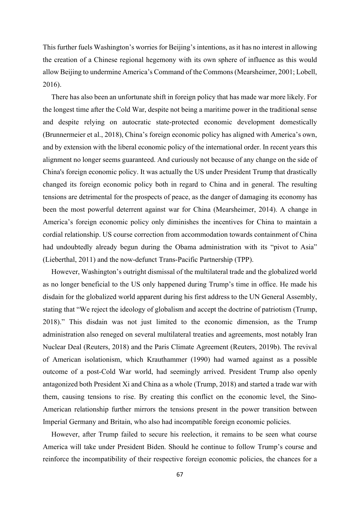This further fuels Washington's worries for Beijing's intentions, as it has no interest in allowing the creation of a Chinese regional hegemony with its own sphere of influence as this would allow Beijing to undermine America's Command of the Commons (Mearsheimer, 2001; Lobell, 2016).

There has also been an unfortunate shift in foreign policy that has made war more likely. For the longest time after the Cold War, despite not being a maritime power in the traditional sense and despite relying on autocratic state-protected economic development domestically (Brunnermeier et al., 2018), China's foreign economic policy has aligned with America's own, and by extension with the liberal economic policy of the international order. In recent years this alignment no longer seems guaranteed. And curiously not because of any change on the side of China's foreign economic policy. It was actually the US under President Trump that drastically changed its foreign economic policy both in regard to China and in general. The resulting tensions are detrimental for the prospects of peace, as the danger of damaging its economy has been the most powerful deterrent against war for China (Mearsheimer, 2014). A change in America's foreign economic policy only diminishes the incentives for China to maintain a cordial relationship. US course correction from accommodation towards containment of China had undoubtedly already begun during the Obama administration with its "pivot to Asia" (Lieberthal, 2011) and the now-defunct Trans-Pacific Partnership (TPP).

However, Washington's outright dismissal of the multilateral trade and the globalized world as no longer beneficial to the US only happened during Trump's time in office. He made his disdain for the globalized world apparent during his first address to the UN General Assembly, stating that "We reject the ideology of globalism and accept the doctrine of patriotism (Trump, 2018)." This disdain was not just limited to the economic dimension, as the Trump administration also reneged on several multilateral treaties and agreements, most notably Iran Nuclear Deal (Reuters, 2018) and the Paris Climate Agreement (Reuters, 2019b). The revival of American isolationism, which Krauthammer (1990) had warned against as a possible outcome of a post-Cold War world, had seemingly arrived. President Trump also openly antagonized both President Xi and China as a whole (Trump, 2018) and started a trade war with them, causing tensions to rise. By creating this conflict on the economic level, the Sino-American relationship further mirrors the tensions present in the power transition between Imperial Germany and Britain, who also had incompatible foreign economic policies.

However, after Trump failed to secure his reelection, it remains to be seen what course America will take under President Biden. Should he continue to follow Trump's course and reinforce the incompatibility of their respective foreign economic policies, the chances for a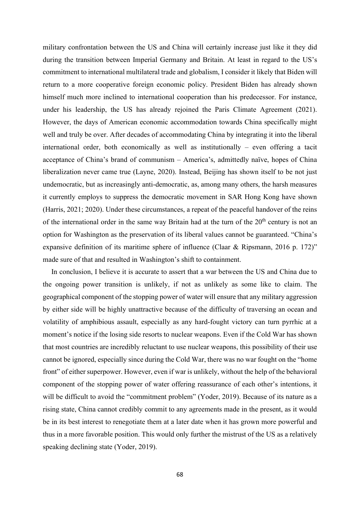military confrontation between the US and China will certainly increase just like it they did during the transition between Imperial Germany and Britain. At least in regard to the US's commitment to international multilateral trade and globalism, I consider it likely that Biden will return to a more cooperative foreign economic policy. President Biden has already shown himself much more inclined to international cooperation than his predecessor. For instance, under his leadership, the US has already rejoined the Paris Climate Agreement (2021). However, the days of American economic accommodation towards China specifically might well and truly be over. After decades of accommodating China by integrating it into the liberal international order, both economically as well as institutionally – even offering a tacit acceptance of China's brand of communism – America's, admittedly naïve, hopes of China liberalization never came true (Layne, 2020). Instead, Beijing has shown itself to be not just undemocratic, but as increasingly anti-democratic, as, among many others, the harsh measures it currently employs to suppress the democratic movement in SAR Hong Kong have shown (Harris, 2021; 2020). Under these circumstances, a repeat of the peaceful handover of the reins of the international order in the same way Britain had at the turn of the  $20<sup>th</sup>$  century is not an option for Washington as the preservation of its liberal values cannot be guaranteed. "China's expansive definition of its maritime sphere of influence (Claar & Ripsmann, 2016 p. 172)" made sure of that and resulted in Washington's shift to containment.

In conclusion, I believe it is accurate to assert that a war between the US and China due to the ongoing power transition is unlikely, if not as unlikely as some like to claim. The geographical component of the stopping power of water will ensure that any military aggression by either side will be highly unattractive because of the difficulty of traversing an ocean and volatility of amphibious assault, especially as any hard-fought victory can turn pyrrhic at a moment's notice if the losing side resorts to nuclear weapons. Even if the Cold War has shown that most countries are incredibly reluctant to use nuclear weapons, this possibility of their use cannot be ignored, especially since during the Cold War, there was no war fought on the "home front" of either superpower. However, even if war is unlikely, without the help of the behavioral component of the stopping power of water offering reassurance of each other's intentions, it will be difficult to avoid the "commitment problem" (Yoder, 2019). Because of its nature as a rising state, China cannot credibly commit to any agreements made in the present, as it would be in its best interest to renegotiate them at a later date when it has grown more powerful and thus in a more favorable position. This would only further the mistrust of the US as a relatively speaking declining state (Yoder, 2019).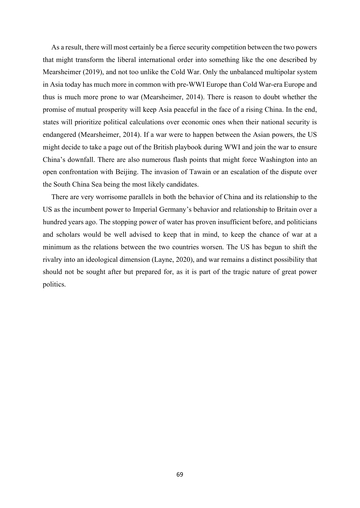As a result, there will most certainly be a fierce security competition between the two powers that might transform the liberal international order into something like the one described by Mearsheimer (2019), and not too unlike the Cold War. Only the unbalanced multipolar system in Asia today has much more in common with pre-WWI Europe than Cold War-era Europe and thus is much more prone to war (Mearsheimer, 2014). There is reason to doubt whether the promise of mutual prosperity will keep Asia peaceful in the face of a rising China. In the end, states will prioritize political calculations over economic ones when their national security is endangered (Mearsheimer, 2014). If a war were to happen between the Asian powers, the US might decide to take a page out of the British playbook during WWI and join the war to ensure China's downfall. There are also numerous flash points that might force Washington into an open confrontation with Beijing. The invasion of Tawain or an escalation of the dispute over the South China Sea being the most likely candidates.

There are very worrisome parallels in both the behavior of China and its relationship to the US as the incumbent power to Imperial Germany's behavior and relationship to Britain over a hundred years ago. The stopping power of water has proven insufficient before, and politicians and scholars would be well advised to keep that in mind, to keep the chance of war at a minimum as the relations between the two countries worsen. The US has begun to shift the rivalry into an ideological dimension (Layne, 2020), and war remains a distinct possibility that should not be sought after but prepared for, as it is part of the tragic nature of great power politics.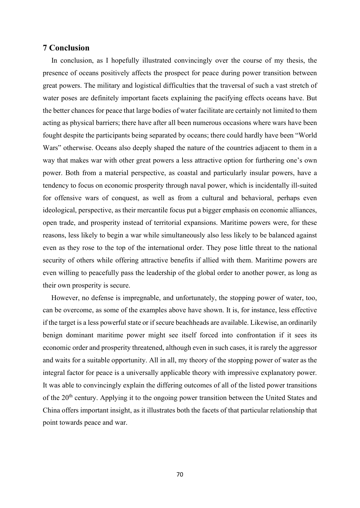# 7 Conclusion

In conclusion, as I hopefully illustrated convincingly over the course of my thesis, the presence of oceans positively affects the prospect for peace during power transition between great powers. The military and logistical difficulties that the traversal of such a vast stretch of water poses are definitely important facets explaining the pacifying effects oceans have. But the better chances for peace that large bodies of water facilitate are certainly not limited to them acting as physical barriers; there have after all been numerous occasions where wars have been fought despite the participants being separated by oceans; there could hardly have been "World Wars" otherwise. Oceans also deeply shaped the nature of the countries adjacent to them in a way that makes war with other great powers a less attractive option for furthering one's own power. Both from a material perspective, as coastal and particularly insular powers, have a tendency to focus on economic prosperity through naval power, which is incidentally ill-suited for offensive wars of conquest, as well as from a cultural and behavioral, perhaps even ideological, perspective, as their mercantile focus put a bigger emphasis on economic alliances, open trade, and prosperity instead of territorial expansions. Maritime powers were, for these reasons, less likely to begin a war while simultaneously also less likely to be balanced against even as they rose to the top of the international order. They pose little threat to the national security of others while offering attractive benefits if allied with them. Maritime powers are even willing to peacefully pass the leadership of the global order to another power, as long as their own prosperity is secure.

However, no defense is impregnable, and unfortunately, the stopping power of water, too, can be overcome, as some of the examples above have shown. It is, for instance, less effective if the target is a less powerful state or if secure beachheads are available. Likewise, an ordinarily benign dominant maritime power might see itself forced into confrontation if it sees its economic order and prosperity threatened, although even in such cases, it is rarely the aggressor and waits for a suitable opportunity. All in all, my theory of the stopping power of water as the integral factor for peace is a universally applicable theory with impressive explanatory power. It was able to convincingly explain the differing outcomes of all of the listed power transitions of the 20<sup>th</sup> century. Applying it to the ongoing power transition between the United States and China offers important insight, as it illustrates both the facets of that particular relationship that point towards peace and war.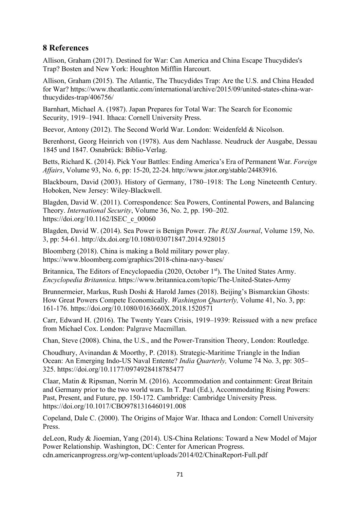## 8 References

Allison, Graham (2017). Destined for War: Can America and China Escape Thucydides's Trap? Bosten and New York: Houghton Mifflin Harcourt.

Allison, Graham (2015). The Atlantic, The Thucydides Trap: Are the U.S. and China Headed for War? https://www.theatlantic.com/international/archive/2015/09/united-states-china-warthucydides-trap/406756/

Barnhart, Michael A. (1987). Japan Prepares for Total War: The Search for Economic Security, 1919–1941. Ithaca: Cornell University Press.

Beevor, Antony (2012). The Second World War. London: Weidenfeld & Nicolson.

Berenhorst, Georg Heinrich von (1978). Aus dem Nachlasse. Neudruck der Ausgabe, Dessau 1845 und 1847. Osnabrück: Biblio-Verlag.

Betts, Richard K. (2014). Pick Your Battles: Ending America's Era of Permanent War. Foreign Affairs, Volume 93, No. 6, pp: 15-20, 22-24. http://www.jstor.org/stable/24483916.

Blackbourn, David (2003). History of Germany, 1780–1918: The Long Nineteenth Century. Hoboken, New Jersey: Wiley-Blackwell.

Blagden, David W. (2011). Correspondence: Sea Powers, Continental Powers, and Balancing Theory. International Security, Volume 36, No. 2, pp. 190–202. https://doi.org/10.1162/ISEC\_c\_00060

Blagden, David W. (2014). Sea Power is Benign Power. The RUSI Journal, Volume 159, No. 3, pp: 54-61. http://dx.doi.org/10.1080/03071847.2014.928015

Bloomberg (2018). China is making a Bold military power play. https://www.bloomberg.com/graphics/2018-china-navy-bases/

Britannica, The Editors of Encyclopaedia (2020, October 1st). The United States Army. Encyclopedia Britannica. https://www.britannica.com/topic/The-United-States-Army

Brunnermeier, Markus, Rush Doshi & Harold James (2018). Beijing's Bismarckian Ghosts: How Great Powers Compete Economically. Washington Quarterly, Volume 41, No. 3, pp: 161-176. https://doi.org/10.1080/0163660X.2018.1520571

Carr, Edward H. (2016). The Twenty Years Crisis, 1919–1939: Reissued with a new preface from Michael Cox. London: Palgrave Macmillan.

Chan, Steve (2008). China, the U.S., and the Power-Transition Theory, London: Routledge.

Choudhury, Avinandan & Moorthy, P. (2018). Strategic-Maritime Triangle in the Indian Ocean: An Emerging Indo-US Naval Entente? India Quarterly, Volume 74 No. 3, pp: 305– 325. https://doi.org/10.1177/0974928418785477

Claar, Matin & Ripsman, Norrin M. (2016). Accommodation and containment: Great Britain and Germany prior to the two world wars. In T. Paul (Ed.), Accommodating Rising Powers: Past, Present, and Future, pp. 150-172. Cambridge: Cambridge University Press. https://doi.org/10.1017/CBO9781316460191.008

Copeland, Dale C. (2000). The Origins of Major War. Ithaca and London: Cornell University Press.

deLeon, Rudy & Jioemian, Yang (2014). US-China Relations: Toward a New Model of Major Power Relationship. Washington, DC: Center for American Progress. cdn.americanprogress.org/wp-content/uploads/2014/02/ChinaReport-Full.pdf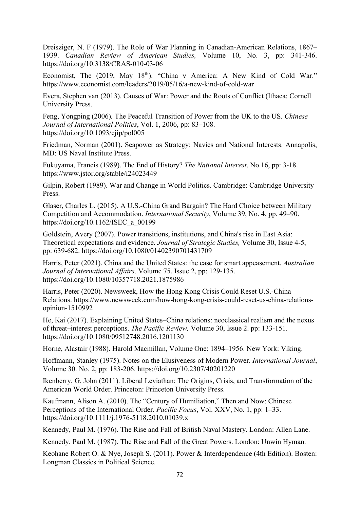Dreisziger, N. F (1979). The Role of War Planning in Canadian-American Relations, 1867– 1939. Canadian Review of American Studies, Volume 10, No. 3, pp: 341-346. https://doi.org/10.3138/CRAS-010-03-06

Economist, The (2019, May 18<sup>th</sup>). "China v America: A New Kind of Cold War." https://www.economist.com/leaders/2019/05/16/a-new-kind-of-cold-war

Evera, Stephen van (2013). Causes of War: Power and the Roots of Conflict (Ithaca: Cornell University Press.

Feng, Yongping (2006). The Peaceful Transition of Power from the UK to the US. Chinese Journal of International Politics, Vol. 1, 2006, pp: 83–108. https://doi.org/10.1093/cjip/pol005

Friedman, Norman (2001). Seapower as Strategy: Navies and National Interests. Annapolis, MD: US Naval Institute Press.

Fukuyama, Francis (1989). The End of History? The National Interest, No.16, pp: 3-18. https://www.jstor.org/stable/i24023449

Gilpin, Robert (1989). War and Change in World Politics. Cambridge: Cambridge University Press.

Glaser, Charles L. (2015). A U.S.-China Grand Bargain? The Hard Choice between Military Competition and Accommodation. International Security, Volume 39, No. 4, pp. 49–90. https://doi.org/10.1162/ISEC\_a\_00199

Goldstein, Avery (2007). Power transitions, institutions, and China's rise in East Asia: Theoretical expectations and evidence. Journal of Strategic Studies, Volume 30, Issue 4-5, pp: 639-682. https://doi.org/10.1080/01402390701431709

Harris, Peter (2021). China and the United States: the case for smart appeasement. Australian Journal of International Affairs, Volume 75, Issue 2, pp: 129-135. https://doi.org/10.1080/10357718.2021.1875986

Harris, Peter (2020). Newsweek, How the Hong Kong Crisis Could Reset U.S.-China Relations. https://www.newsweek.com/how-hong-kong-crisis-could-reset-us-china-relationsopinion-1510992

He, Kai (2017). Explaining United States–China relations: neoclassical realism and the nexus of threat–interest perceptions. The Pacific Review, Volume 30, Issue 2. pp: 133-151. https://doi.org/10.1080/09512748.2016.1201130

Horne, Alastair (1988). Harold Macmillan, Volume One: 1894–1956. New York: Viking.

Hoffmann, Stanley (1975). Notes on the Elusiveness of Modern Power. International Journal, Volume 30. No. 2, pp: 183-206. https://doi.org/10.2307/40201220

Ikenberry, G. John (2011). Liberal Leviathan: The Origins, Crisis, and Transformation of the American World Order. Princeton: Princeton University Press.

Kaufmann, Alison A. (2010). The "Century of Humiliation," Then and Now: Chinese Perceptions of the International Order. Pacific Focus, Vol. XXV, No. 1, pp: 1–33. https://doi.org/10.1111/j.1976-5118.2010.01039.x

Kennedy, Paul M. (1976). The Rise and Fall of British Naval Mastery. London: Allen Lane.

Kennedy, Paul M. (1987). The Rise and Fall of the Great Powers. London: Unwin Hyman.

Keohane Robert O. & Nye, Joseph S. (2011). Power & Interdependence (4th Edition). Bosten: Longman Classics in Political Science.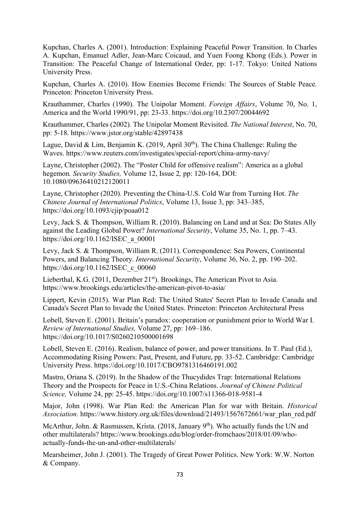Kupchan, Charles A. (2001). Introduction: Explaining Peaceful Power Transition. In Charles A. Kupchan, Emanuel Adler, Jean-Marc Coicaud, and Yuen Foong Khong (Eds.). Power in Transition: The Peaceful Change of International Order, pp: 1-17. Tokyo: United Nations University Press.

Kupchan, Charles A. (2010). How Enemies Become Friends: The Sources of Stable Peace. Princeton: Princeton University Press.

Krauthammer, Charles (1990). The Unipolar Moment. Foreign Affairs, Volume 70, No. 1, America and the World 1990/91, pp: 23-33. https://doi.org/10.2307/20044692

Krauthammer, Charles (2002). The Unipolar Moment Revisited. The National Interest, No. 70, pp: 5-18. https://www.jstor.org/stable/42897438

Lague, David & Lim, Benjamin K. (2019, April  $30<sup>th</sup>$ ). The China Challenge: Ruling the Waves. https://www.reuters.com/investigates/special-report/china-army-navy/

Layne, Christopher (2002). The "Poster Child for offensive realism": America as a global hegemon. Security Studies, Volume 12, Issue 2, pp: 120-164, DOI: 10.1080/09636410212120011

Layne, Christopher (2020). Preventing the China-U.S. Cold War from Turning Hot. The Chinese Journal of International Politics, Volume 13, Issue 3, pp: 343–385, https://doi.org/10.1093/cjip/poaa012

Levy, Jack S. & Thompson, William R. (2010). Balancing on Land and at Sea: Do States Ally against the Leading Global Power? International Security, Volume 35, No. 1, pp. 7–43. https://doi.org/10.1162/ISEC\_a\_00001

Levy, Jack S. & Thompson, William R. (2011). Correspondence: Sea Powers, Continental Powers, and Balancing Theory. International Security, Volume 36, No. 2, pp. 190–202. https://doi.org/10.1162/ISEC\_c\_00060

Lieberthal, K.G. (2011, Dezember 21<sup>st</sup>). Brookings, The American Pivot to Asia. https://www.brookings.edu/articles/the-american-pivot-to-asia/

Lippert, Kevin (2015). War Plan Red: The United States' Secret Plan to Invade Canada and Canada's Secret Plan to Invade the United States. Princeton: Princeton Architectural Press

Lobell, Steven E. (2001). Britain's paradox: cooperation or punishment prior to World War I. Review of International Studies, Volume 27, pp: 169–186. https://doi.org/10.1017/S0260210500001698

Lobell, Steven E. (2016). Realism, balance of power, and power transitions. In T. Paul (Ed.), Accommodating Rising Powers: Past, Present, and Future, pp. 33-52. Cambridge: Cambridge University Press. https://doi.org/10.1017/CBO9781316460191.002

Mastro, Oriana S. (2019). In the Shadow of the Thucydides Trap: International Relations Theory and the Prospects for Peace in U.S.-China Relations. Journal of Chinese Political Science, Volume 24, pp: 25-45. https://doi.org/10.1007/s11366-018-9581-4

Major, John (1998). War Plan Red: the American Plan for war with Britain. Historical Association. https://www.history.org.uk/files/download/21493/1567672661/war\_plan\_red.pdf

McArthur, John. & Rasmussen, Krista. (2018, January  $9<sup>th</sup>$ ). Who actually funds the UN and other multilaterals? https://www.brookings.edu/blog/order-fromchaos/2018/01/09/whoactually-funds-the-un-and-other-multilaterals/

Mearsheimer, John J. (2001). The Tragedy of Great Power Politics. New York: W.W. Norton & Company.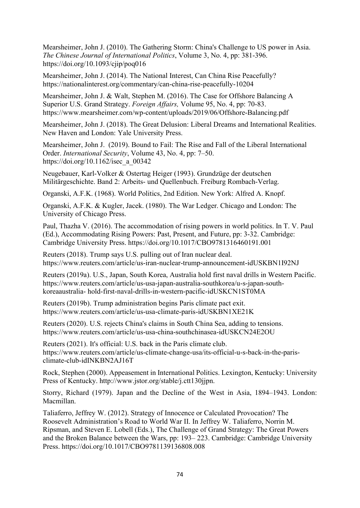Mearsheimer, John J. (2010). The Gathering Storm: China's Challenge to US power in Asia. The Chinese Journal of International Politics, Volume 3, No. 4, pp: 381-396. https://doi.org/10.1093/cjip/poq016

Mearsheimer, John J. (2014). The National Interest, Can China Rise Peacefully? https://nationalinterest.org/commentary/can-china-rise-peacefully-10204

Mearsheimer, John J. & Walt, Stephen M. (2016). The Case for Offshore Balancing A Superior U.S. Grand Strategy. Foreign Affairs, Volume 95, No. 4, pp: 70-83. https://www.mearsheimer.com/wp-content/uploads/2019/06/Offshore-Balancing.pdf

Mearsheimer, John J. (2018). The Great Delusion: Liberal Dreams and International Realities. New Haven and London: Yale University Press.

Mearsheimer, John J. (2019). Bound to Fail: The Rise and Fall of the Liberal International Order. International Security, Volume 43, No. 4, pp: 7–50. https://doi.org/10.1162/isec\_a\_00342

Neugebauer, Karl-Volker & Ostertag Heiger (1993). Grundzüge der deutschen Militärgeschichte. Band 2: Arbeits- und Quellenbuch. Freiburg Rombach-Verlag.

Organski, A.F.K. (1968). World Politics, 2nd Edition. New York: Alfred A. Knopf.

Organski, A.F.K. & Kugler, Jacek. (1980). The War Ledger. Chicago and London: The University of Chicago Press.

Paul, Thazha V. (2016). The accommodation of rising powers in world politics. In T. V. Paul (Ed.), Accommodating Rising Powers: Past, Present, and Future, pp: 3-32. Cambridge: Cambridge University Press. https://doi.org/10.1017/CBO9781316460191.001

Reuters (2018). Trump says U.S. pulling out of Iran nuclear deal. https://www.reuters.com/article/us-iran-nuclear-trump-announcement-idUSKBN1I92NJ

Reuters (2019a). U.S., Japan, South Korea, Australia hold first naval drills in Western Pacific. https://www.reuters.com/article/us-usa-japan-australia-southkorea/u-s-japan-southkoreaaustralia- hold-first-naval-drills-in-western-pacific-idUSKCN1ST0MA

Reuters (2019b). Trump administration begins Paris climate pact exit. https://www.reuters.com/article/us-usa-climate-paris-idUSKBN1XE21K

Reuters (2020). U.S. rejects China's claims in South China Sea, adding to tensions. https://www.reuters.com/article/us-usa-china-southchinasea-idUSKCN24E2OU

Reuters (2021). It's official: U.S. back in the Paris climate club. https://www.reuters.com/article/us-climate-change-usa/its-official-u-s-back-in-the-parisclimate-club-idINKBN2AJ16T

Rock, Stephen (2000). Appeasement in International Politics. Lexington, Kentucky: University Press of Kentucky. http://www.jstor.org/stable/j.ctt130jjpn.

Storry, Richard (1979). Japan and the Decline of the West in Asia, 1894–1943. London: Macmillan.

Taliaferro, Jeffrey W. (2012). Strategy of Innocence or Calculated Provocation? The Roosevelt Administration's Road to World War II. In Jeffrey W. Taliaferro, Norrin M. Ripsman, and Steven E. Lobell (Eds.), The Challenge of Grand Strategy: The Great Powers and the Broken Balance between the Wars, pp: 193– 223. Cambridge: Cambridge University Press. https://doi.org/10.1017/CBO9781139136808.008